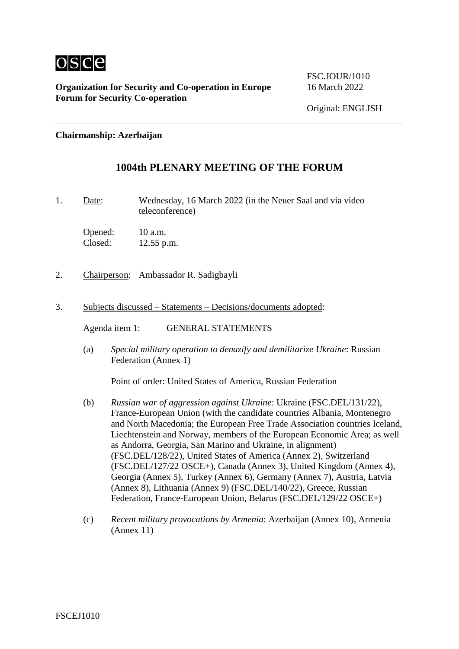

**Organization for Security and Co-operation in Europe** 16 March 2022 **Forum for Security Co-operation**

FSC.IOUR/1010

### **Chairmanship: Azerbaijan**

# **1004th PLENARY MEETING OF THE FORUM**

1. Date: Wednesday, 16 March 2022 (in the Neuer Saal and via video teleconference)

Opened: 10 a.m. Closed: 12.55 p.m.

- 2. Chairperson: Ambassador R. Sadigbayli
- 3. Subjects discussed Statements Decisions/documents adopted:

Agenda item 1: GENERAL STATEMENTS

(a) *Special military operation to denazify and demilitarize Ukraine*: Russian Federation (Annex 1)

Point of order: United States of America, Russian Federation

- (b) *Russian war of aggression against Ukraine*: Ukraine (FSC.DEL/131/22), France-European Union (with the candidate countries Albania, Montenegro and North Macedonia; the European Free Trade Association countries Iceland, Liechtenstein and Norway, members of the European Economic Area; as well as Andorra, Georgia, San Marino and Ukraine, in alignment) (FSC.DEL/128/22), United States of America (Annex 2), Switzerland (FSC.DEL/127/22 OSCE+), Canada (Annex 3), United Kingdom (Annex 4), Georgia (Annex 5), Turkey (Annex 6), Germany (Annex 7), Austria, Latvia (Annex 8), Lithuania (Annex 9) (FSC.DEL/140/22), Greece, Russian Federation, France-European Union, Belarus (FSC.DEL/129/22 OSCE+)
- (c) *Recent military provocations by Armenia*: Azerbaijan (Annex 10), Armenia (Annex 11)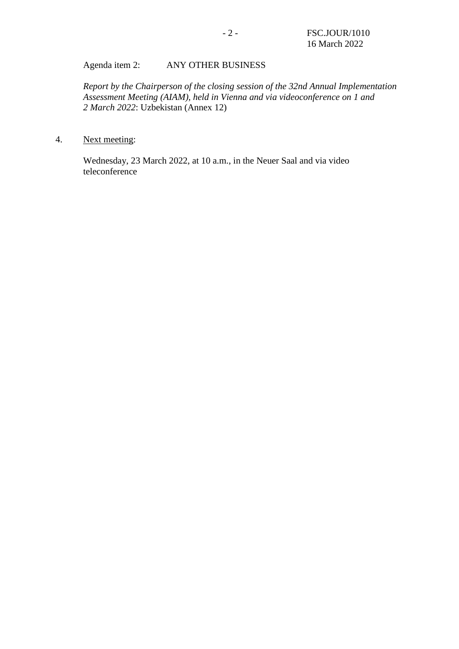### Agenda item 2: ANY OTHER BUSINESS

*Report by the Chairperson of the closing session of the 32nd Annual Implementation Assessment Meeting (AIAM), held in Vienna and via videoconference on 1 and 2 March 2022*: Uzbekistan (Annex 12)

### 4. Next meeting:

Wednesday, 23 March 2022, at 10 a.m., in the Neuer Saal and via video teleconference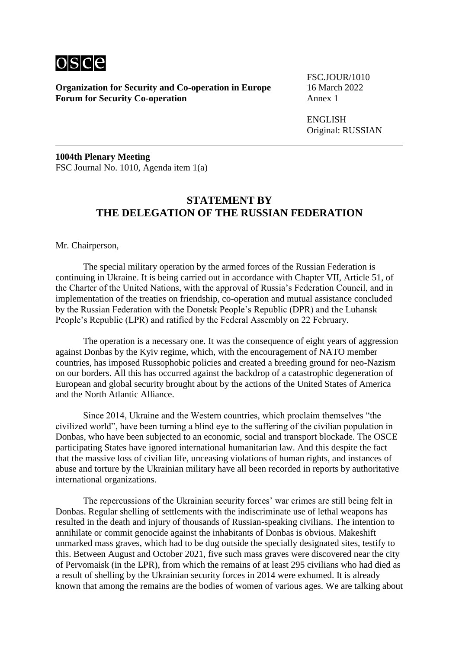

**Organization for Security and Co-operation in Europe** 16 March 2022 **Forum for Security Co-operation** 

FSC.JOUR/1010

ENGLISH Original: RUSSIAN

**1004th Plenary Meeting** FSC Journal No. 1010, Agenda item 1(a)

## **STATEMENT BY THE DELEGATION OF THE RUSSIAN FEDERATION**

Mr. Chairperson,

The special military operation by the armed forces of the Russian Federation is continuing in Ukraine. It is being carried out in accordance with Chapter VII, Article 51, of the Charter of the United Nations, with the approval of Russia's Federation Council, and in implementation of the treaties on friendship, co-operation and mutual assistance concluded by the Russian Federation with the Donetsk People's Republic (DPR) and the Luhansk People's Republic (LPR) and ratified by the Federal Assembly on 22 February.

The operation is a necessary one. It was the consequence of eight years of aggression against Donbas by the Kyiv regime, which, with the encouragement of NATO member countries, has imposed Russophobic policies and created a breeding ground for neo-Nazism on our borders. All this has occurred against the backdrop of a catastrophic degeneration of European and global security brought about by the actions of the United States of America and the North Atlantic Alliance.

Since 2014, Ukraine and the Western countries, which proclaim themselves "the civilized world", have been turning a blind eye to the suffering of the civilian population in Donbas, who have been subjected to an economic, social and transport blockade. The OSCE participating States have ignored international humanitarian law. And this despite the fact that the massive loss of civilian life, unceasing violations of human rights, and instances of abuse and torture by the Ukrainian military have all been recorded in reports by authoritative international organizations.

The repercussions of the Ukrainian security forces' war crimes are still being felt in Donbas. Regular shelling of settlements with the indiscriminate use of lethal weapons has resulted in the death and injury of thousands of Russian-speaking civilians. The intention to annihilate or commit genocide against the inhabitants of Donbas is obvious. Makeshift unmarked mass graves, which had to be dug outside the specially designated sites, testify to this. Between August and October 2021, five such mass graves were discovered near the city of Pervomaisk (in the LPR), from which the remains of at least 295 civilians who had died as a result of shelling by the Ukrainian security forces in 2014 were exhumed. It is already known that among the remains are the bodies of women of various ages. We are talking about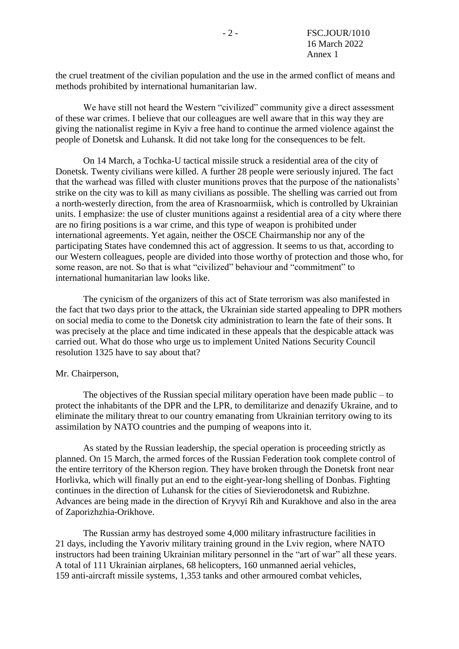the cruel treatment of the civilian population and the use in the armed conflict of means and methods prohibited by international humanitarian law.

We have still not heard the Western "civilized" community give a direct assessment of these war crimes. I believe that our colleagues are well aware that in this way they are giving the nationalist regime in Kyiv a free hand to continue the armed violence against the people of Donetsk and Luhansk. It did not take long for the consequences to be felt.

On 14 March, a Tochka-U tactical missile struck a residential area of the city of Donetsk. Twenty civilians were killed. A further 28 people were seriously injured. The fact that the warhead was filled with cluster munitions proves that the purpose of the nationalists' strike on the city was to kill as many civilians as possible. The shelling was carried out from a north-westerly direction, from the area of Krasnoarmiisk, which is controlled by Ukrainian units. I emphasize: the use of cluster munitions against a residential area of a city where there are no firing positions is a war crime, and this type of weapon is prohibited under international agreements. Yet again, neither the OSCE Chairmanship nor any of the participating States have condemned this act of aggression. It seems to us that, according to our Western colleagues, people are divided into those worthy of protection and those who, for some reason, are not. So that is what "civilized" behaviour and "commitment" to international humanitarian law looks like.

The cynicism of the organizers of this act of State terrorism was also manifested in the fact that two days prior to the attack, the Ukrainian side started appealing to DPR mothers on social media to come to the Donetsk city administration to learn the fate of their sons. It was precisely at the place and time indicated in these appeals that the despicable attack was carried out. What do those who urge us to implement United Nations Security Council resolution 1325 have to say about that?

#### Mr. Chairperson,

The objectives of the Russian special military operation have been made public – to protect the inhabitants of the DPR and the LPR, to demilitarize and denazify Ukraine, and to eliminate the military threat to our country emanating from Ukrainian territory owing to its assimilation by NATO countries and the pumping of weapons into it.

As stated by the Russian leadership, the special operation is proceeding strictly as planned. On 15 March, the armed forces of the Russian Federation took complete control of the entire territory of the Kherson region. They have broken through the Donetsk front near Horlivka, which will finally put an end to the eight-year-long shelling of Donbas. Fighting continues in the direction of Luhansk for the cities of Sievierodonetsk and Rubizhne. Advances are being made in the direction of Kryvyi Rih and Kurakhove and also in the area of Zaporizhzhia-Orikhove.

The Russian army has destroyed some 4,000 military infrastructure facilities in 21 days, including the Yavoriv military training ground in the Lviv region, where NATO instructors had been training Ukrainian military personnel in the "art of war" all these years. A total of 111 Ukrainian airplanes, 68 helicopters, 160 unmanned aerial vehicles, 159 anti-aircraft missile systems, 1,353 tanks and other armoured combat vehicles,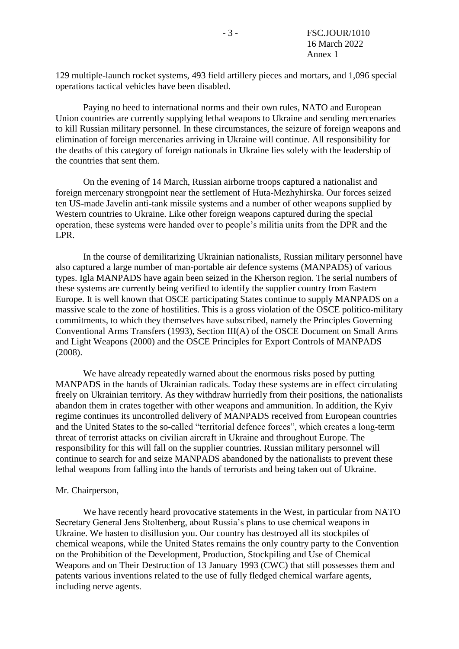129 multiple-launch rocket systems, 493 field artillery pieces and mortars, and 1,096 special operations tactical vehicles have been disabled.

Paying no heed to international norms and their own rules, NATO and European Union countries are currently supplying lethal weapons to Ukraine and sending mercenaries to kill Russian military personnel. In these circumstances, the seizure of foreign weapons and elimination of foreign mercenaries arriving in Ukraine will continue. All responsibility for the deaths of this category of foreign nationals in Ukraine lies solely with the leadership of the countries that sent them.

On the evening of 14 March, Russian airborne troops captured a nationalist and foreign mercenary strongpoint near the settlement of Huta-Mezhyhirska. Our forces seized ten US-made Javelin anti-tank missile systems and a number of other weapons supplied by Western countries to Ukraine. Like other foreign weapons captured during the special operation, these systems were handed over to people's militia units from the DPR and the LPR.

In the course of demilitarizing Ukrainian nationalists, Russian military personnel have also captured a large number of man-portable air defence systems (MANPADS) of various types. Igla MANPADS have again been seized in the Kherson region. The serial numbers of these systems are currently being verified to identify the supplier country from Eastern Europe. It is well known that OSCE participating States continue to supply MANPADS on a massive scale to the zone of hostilities. This is a gross violation of the OSCE politico-military commitments, to which they themselves have subscribed, namely the Principles Governing Conventional Arms Transfers (1993), Section III(A) of the OSCE Document on Small Arms and Light Weapons (2000) and the OSCE Principles for Export Controls of MANPADS (2008).

We have already repeatedly warned about the enormous risks posed by putting MANPADS in the hands of Ukrainian radicals. Today these systems are in effect circulating freely on Ukrainian territory. As they withdraw hurriedly from their positions, the nationalists abandon them in crates together with other weapons and ammunition. In addition, the Kyiv regime continues its uncontrolled delivery of MANPADS received from European countries and the United States to the so-called "territorial defence forces", which creates a long-term threat of terrorist attacks on civilian aircraft in Ukraine and throughout Europe. The responsibility for this will fall on the supplier countries. Russian military personnel will continue to search for and seize MANPADS abandoned by the nationalists to prevent these lethal weapons from falling into the hands of terrorists and being taken out of Ukraine.

#### Mr. Chairperson,

We have recently heard provocative statements in the West, in particular from NATO Secretary General Jens Stoltenberg, about Russia's plans to use chemical weapons in Ukraine. We hasten to disillusion you. Our country has destroyed all its stockpiles of chemical weapons, while the United States remains the only country party to the Convention on the Prohibition of the Development, Production, Stockpiling and Use of Chemical Weapons and on Their Destruction of 13 January 1993 (CWC) that still possesses them and patents various inventions related to the use of fully fledged chemical warfare agents, including nerve agents.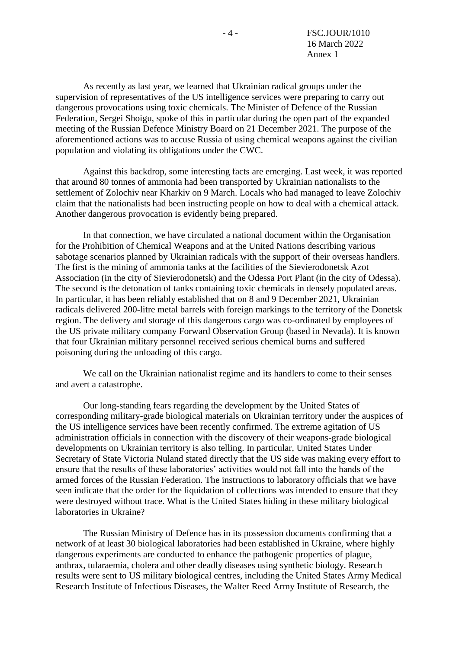As recently as last year, we learned that Ukrainian radical groups under the supervision of representatives of the US intelligence services were preparing to carry out dangerous provocations using toxic chemicals. The Minister of Defence of the Russian Federation, Sergei Shoigu, spoke of this in particular during the open part of the expanded meeting of the Russian Defence Ministry Board on 21 December 2021. The purpose of the aforementioned actions was to accuse Russia of using chemical weapons against the civilian population and violating its obligations under the CWC.

Against this backdrop, some interesting facts are emerging. Last week, it was reported that around 80 tonnes of ammonia had been transported by Ukrainian nationalists to the settlement of Zolochiv near Kharkiv on 9 March. Locals who had managed to leave Zolochiv claim that the nationalists had been instructing people on how to deal with a chemical attack. Another dangerous provocation is evidently being prepared.

In that connection, we have circulated a national document within the Organisation for the Prohibition of Chemical Weapons and at the United Nations describing various sabotage scenarios planned by Ukrainian radicals with the support of their overseas handlers. The first is the mining of ammonia tanks at the facilities of the Sievierodonetsk Azot Association (in the city of Sievierodonetsk) and the Odessa Port Plant (in the city of Odessa). The second is the detonation of tanks containing toxic chemicals in densely populated areas. In particular, it has been reliably established that on 8 and 9 December 2021, Ukrainian radicals delivered 200-litre metal barrels with foreign markings to the territory of the Donetsk region. The delivery and storage of this dangerous cargo was co-ordinated by employees of the US private military company Forward Observation Group (based in Nevada). It is known that four Ukrainian military personnel received serious chemical burns and suffered poisoning during the unloading of this cargo.

We call on the Ukrainian nationalist regime and its handlers to come to their senses and avert a catastrophe.

Our long-standing fears regarding the development by the United States of corresponding military-grade biological materials on Ukrainian territory under the auspices of the US intelligence services have been recently confirmed. The extreme agitation of US administration officials in connection with the discovery of their weapons-grade biological developments on Ukrainian territory is also telling. In particular, United States Under Secretary of State Victoria Nuland stated directly that the US side was making every effort to ensure that the results of these laboratories' activities would not fall into the hands of the armed forces of the Russian Federation. The instructions to laboratory officials that we have seen indicate that the order for the liquidation of collections was intended to ensure that they were destroyed without trace. What is the United States hiding in these military biological laboratories in Ukraine?

The Russian Ministry of Defence has in its possession documents confirming that a network of at least 30 biological laboratories had been established in Ukraine, where highly dangerous experiments are conducted to enhance the pathogenic properties of plague, anthrax, tularaemia, cholera and other deadly diseases using synthetic biology. Research results were sent to US military biological centres, including the United States Army Medical Research Institute of Infectious Diseases, the Walter Reed Army Institute of Research, the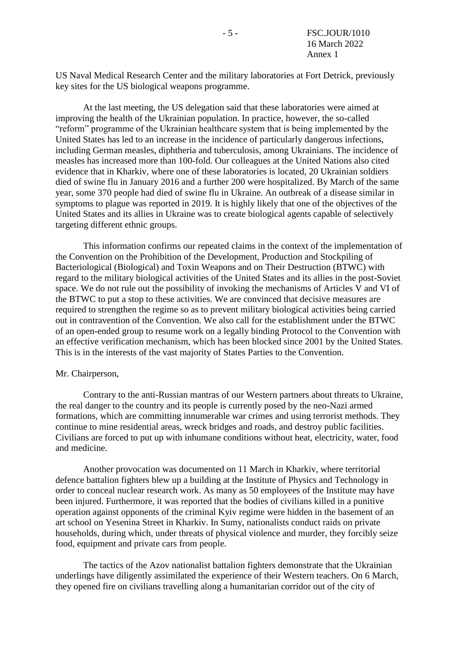US Naval Medical Research Center and the military laboratories at Fort Detrick, previously key sites for the US biological weapons programme.

At the last meeting, the US delegation said that these laboratories were aimed at improving the health of the Ukrainian population. In practice, however, the so-called "reform" programme of the Ukrainian healthcare system that is being implemented by the United States has led to an increase in the incidence of particularly dangerous infections, including German measles, diphtheria and tuberculosis, among Ukrainians. The incidence of measles has increased more than 100-fold. Our colleagues at the United Nations also cited evidence that in Kharkiv, where one of these laboratories is located, 20 Ukrainian soldiers died of swine flu in January 2016 and a further 200 were hospitalized. By March of the same year, some 370 people had died of swine flu in Ukraine. An outbreak of a disease similar in symptoms to plague was reported in 2019. It is highly likely that one of the objectives of the United States and its allies in Ukraine was to create biological agents capable of selectively targeting different ethnic groups.

This information confirms our repeated claims in the context of the implementation of the Convention on the Prohibition of the Development, Production and Stockpiling of Bacteriological (Biological) and Toxin Weapons and on Their Destruction (BTWC) with regard to the military biological activities of the United States and its allies in the post-Soviet space. We do not rule out the possibility of invoking the mechanisms of Articles V and VI of the BTWC to put a stop to these activities. We are convinced that decisive measures are required to strengthen the regime so as to prevent military biological activities being carried out in contravention of the Convention. We also call for the establishment under the BTWC of an open-ended group to resume work on a legally binding Protocol to the Convention with an effective verification mechanism, which has been blocked since 2001 by the United States. This is in the interests of the vast majority of States Parties to the Convention.

#### Mr. Chairperson,

Contrary to the anti-Russian mantras of our Western partners about threats to Ukraine, the real danger to the country and its people is currently posed by the neo-Nazi armed formations, which are committing innumerable war crimes and using terrorist methods. They continue to mine residential areas, wreck bridges and roads, and destroy public facilities. Civilians are forced to put up with inhumane conditions without heat, electricity, water, food and medicine.

Another provocation was documented on 11 March in Kharkiv, where territorial defence battalion fighters blew up a building at the Institute of Physics and Technology in order to conceal nuclear research work. As many as 50 employees of the Institute may have been injured. Furthermore, it was reported that the bodies of civilians killed in a punitive operation against opponents of the criminal Kyiv regime were hidden in the basement of an art school on Yesenina Street in Kharkiv. In Sumy, nationalists conduct raids on private households, during which, under threats of physical violence and murder, they forcibly seize food, equipment and private cars from people.

The tactics of the Azov nationalist battalion fighters demonstrate that the Ukrainian underlings have diligently assimilated the experience of their Western teachers. On 6 March, they opened fire on civilians travelling along a humanitarian corridor out of the city of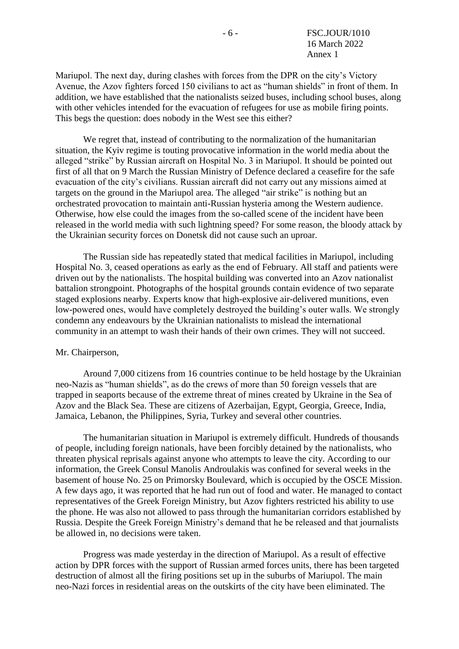Mariupol. The next day, during clashes with forces from the DPR on the city's Victory Avenue, the Azov fighters forced 150 civilians to act as "human shields" in front of them. In addition, we have established that the nationalists seized buses, including school buses, along with other vehicles intended for the evacuation of refugees for use as mobile firing points. This begs the question: does nobody in the West see this either?

We regret that, instead of contributing to the normalization of the humanitarian situation, the Kyiv regime is touting provocative information in the world media about the alleged "strike" by Russian aircraft on Hospital No. 3 in Mariupol. It should be pointed out first of all that on 9 March the Russian Ministry of Defence declared a ceasefire for the safe evacuation of the city's civilians. Russian aircraft did not carry out any missions aimed at targets on the ground in the Mariupol area. The alleged "air strike" is nothing but an orchestrated provocation to maintain anti-Russian hysteria among the Western audience. Otherwise, how else could the images from the so-called scene of the incident have been released in the world media with such lightning speed? For some reason, the bloody attack by the Ukrainian security forces on Donetsk did not cause such an uproar.

The Russian side has repeatedly stated that medical facilities in Mariupol, including Hospital No. 3, ceased operations as early as the end of February. All staff and patients were driven out by the nationalists. The hospital building was converted into an Azov nationalist battalion strongpoint. Photographs of the hospital grounds contain evidence of two separate staged explosions nearby. Experts know that high-explosive air-delivered munitions, even low-powered ones, would have completely destroyed the building's outer walls. We strongly condemn any endeavours by the Ukrainian nationalists to mislead the international community in an attempt to wash their hands of their own crimes. They will not succeed.

#### Mr. Chairperson,

Around 7,000 citizens from 16 countries continue to be held hostage by the Ukrainian neo-Nazis as "human shields", as do the crews of more than 50 foreign vessels that are trapped in seaports because of the extreme threat of mines created by Ukraine in the Sea of Azov and the Black Sea. These are citizens of Azerbaijan, Egypt, Georgia, Greece, India, Jamaica, Lebanon, the Philippines, Syria, Turkey and several other countries.

The humanitarian situation in Mariupol is extremely difficult. Hundreds of thousands of people, including foreign nationals, have been forcibly detained by the nationalists, who threaten physical reprisals against anyone who attempts to leave the city. According to our information, the Greek Consul Manolis Androulakis was confined for several weeks in the basement of house No. 25 on Primorsky Boulevard, which is occupied by the OSCE Mission. A few days ago, it was reported that he had run out of food and water. He managed to contact representatives of the Greek Foreign Ministry, but Azov fighters restricted his ability to use the phone. He was also not allowed to pass through the humanitarian corridors established by Russia. Despite the Greek Foreign Ministry's demand that he be released and that journalists be allowed in, no decisions were taken.

Progress was made yesterday in the direction of Mariupol. As a result of effective action by DPR forces with the support of Russian armed forces units, there has been targeted destruction of almost all the firing positions set up in the suburbs of Mariupol. The main neo-Nazi forces in residential areas on the outskirts of the city have been eliminated. The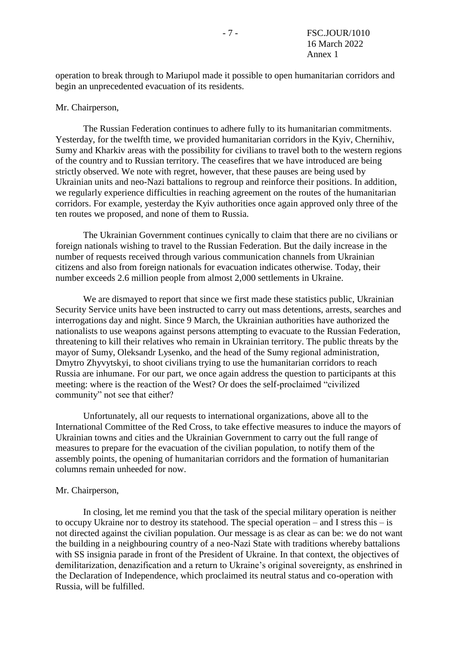operation to break through to Mariupol made it possible to open humanitarian corridors and begin an unprecedented evacuation of its residents.

### Mr. Chairperson,

The Russian Federation continues to adhere fully to its humanitarian commitments. Yesterday, for the twelfth time, we provided humanitarian corridors in the Kyiv, Chernihiv, Sumy and Kharkiv areas with the possibility for civilians to travel both to the western regions of the country and to Russian territory. The ceasefires that we have introduced are being strictly observed. We note with regret, however, that these pauses are being used by Ukrainian units and neo-Nazi battalions to regroup and reinforce their positions. In addition, we regularly experience difficulties in reaching agreement on the routes of the humanitarian corridors. For example, yesterday the Kyiv authorities once again approved only three of the ten routes we proposed, and none of them to Russia.

The Ukrainian Government continues cynically to claim that there are no civilians or foreign nationals wishing to travel to the Russian Federation. But the daily increase in the number of requests received through various communication channels from Ukrainian citizens and also from foreign nationals for evacuation indicates otherwise. Today, their number exceeds 2.6 million people from almost 2,000 settlements in Ukraine.

We are dismayed to report that since we first made these statistics public, Ukrainian Security Service units have been instructed to carry out mass detentions, arrests, searches and interrogations day and night. Since 9 March, the Ukrainian authorities have authorized the nationalists to use weapons against persons attempting to evacuate to the Russian Federation, threatening to kill their relatives who remain in Ukrainian territory. The public threats by the mayor of Sumy, Oleksandr Lysenko, and the head of the Sumy regional administration, Dmytro Zhyvytskyi, to shoot civilians trying to use the humanitarian corridors to reach Russia are inhumane. For our part, we once again address the question to participants at this meeting: where is the reaction of the West? Or does the self-proclaimed "civilized community" not see that either?

Unfortunately, all our requests to international organizations, above all to the International Committee of the Red Cross, to take effective measures to induce the mayors of Ukrainian towns and cities and the Ukrainian Government to carry out the full range of measures to prepare for the evacuation of the civilian population, to notify them of the assembly points, the opening of humanitarian corridors and the formation of humanitarian columns remain unheeded for now.

#### Mr. Chairperson,

In closing, let me remind you that the task of the special military operation is neither to occupy Ukraine nor to destroy its statehood. The special operation – and I stress this – is not directed against the civilian population. Our message is as clear as can be: we do not want the building in a neighbouring country of a neo-Nazi State with traditions whereby battalions with SS insignia parade in front of the President of Ukraine. In that context, the objectives of demilitarization, denazification and a return to Ukraine's original sovereignty, as enshrined in the Declaration of Independence, which proclaimed its neutral status and co-operation with Russia, will be fulfilled.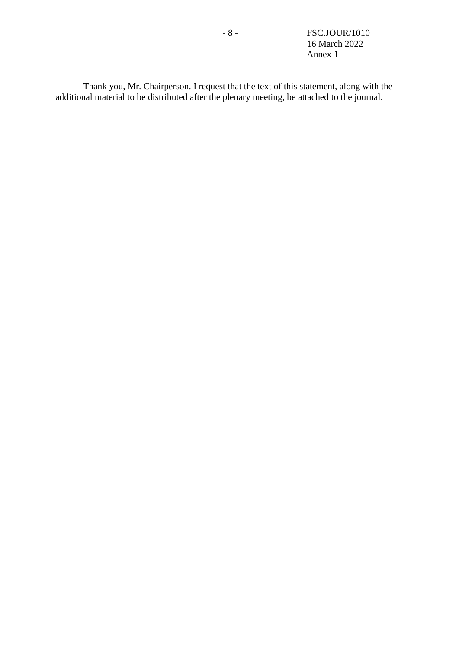- 8 - FSC.JOUR/1010 16 March 2022 Annex 1

Thank you, Mr. Chairperson. I request that the text of this statement, along with the additional material to be distributed after the plenary meeting, be attached to the journal.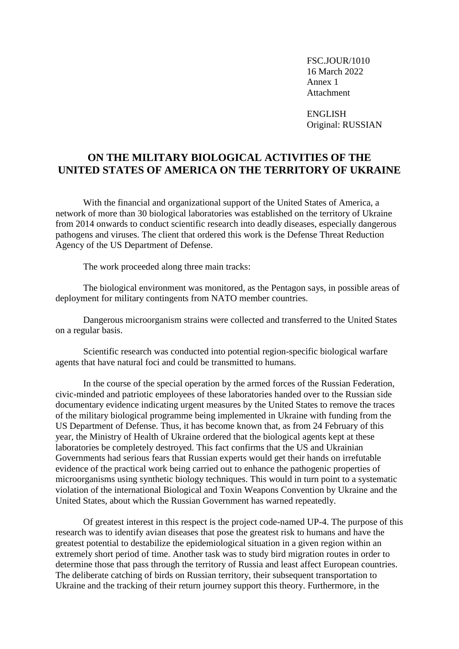FSC.JOUR/1010 16 March 2022 Annex 1 Attachment

ENGLISH Original: RUSSIAN

# **ON THE MILITARY BIOLOGICAL ACTIVITIES OF THE UNITED STATES OF AMERICA ON THE TERRITORY OF UKRAINE**

With the financial and organizational support of the United States of America, a network of more than 30 biological laboratories was established on the territory of Ukraine from 2014 onwards to conduct scientific research into deadly diseases, especially dangerous pathogens and viruses. The client that ordered this work is the Defense Threat Reduction Agency of the US Department of Defense.

The work proceeded along three main tracks:

The biological environment was monitored, as the Pentagon says, in possible areas of deployment for military contingents from NATO member countries.

Dangerous microorganism strains were collected and transferred to the United States on a regular basis.

Scientific research was conducted into potential region-specific biological warfare agents that have natural foci and could be transmitted to humans.

In the course of the special operation by the armed forces of the Russian Federation, civic-minded and patriotic employees of these laboratories handed over to the Russian side documentary evidence indicating urgent measures by the United States to remove the traces of the military biological programme being implemented in Ukraine with funding from the US Department of Defense. Thus, it has become known that, as from 24 February of this year, the Ministry of Health of Ukraine ordered that the biological agents kept at these laboratories be completely destroyed. This fact confirms that the US and Ukrainian Governments had serious fears that Russian experts would get their hands on irrefutable evidence of the practical work being carried out to enhance the pathogenic properties of microorganisms using synthetic biology techniques. This would in turn point to a systematic violation of the international Biological and Toxin Weapons Convention by Ukraine and the United States, about which the Russian Government has warned repeatedly.

Of greatest interest in this respect is the project code-named UP-4. The purpose of this research was to identify avian diseases that pose the greatest risk to humans and have the greatest potential to destabilize the epidemiological situation in a given region within an extremely short period of time. Another task was to study bird migration routes in order to determine those that pass through the territory of Russia and least affect European countries. The deliberate catching of birds on Russian territory, their subsequent transportation to Ukraine and the tracking of their return journey support this theory. Furthermore, in the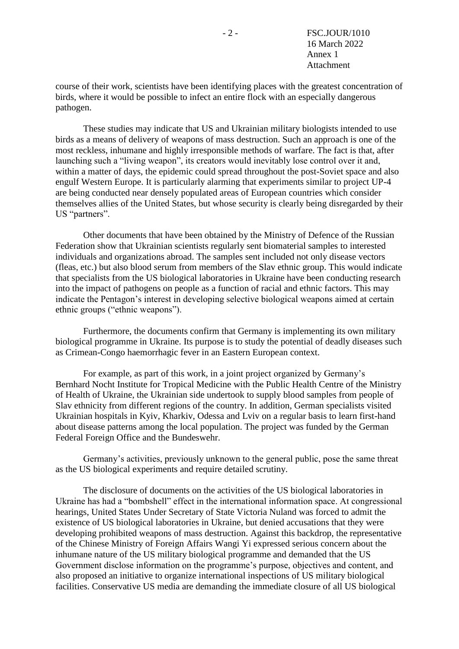course of their work, scientists have been identifying places with the greatest concentration of birds, where it would be possible to infect an entire flock with an especially dangerous pathogen.

These studies may indicate that US and Ukrainian military biologists intended to use birds as a means of delivery of weapons of mass destruction. Such an approach is one of the most reckless, inhumane and highly irresponsible methods of warfare. The fact is that, after launching such a "living weapon", its creators would inevitably lose control over it and, within a matter of days, the epidemic could spread throughout the post-Soviet space and also engulf Western Europe. It is particularly alarming that experiments similar to project UP-4 are being conducted near densely populated areas of European countries which consider themselves allies of the United States, but whose security is clearly being disregarded by their US "partners".

Other documents that have been obtained by the Ministry of Defence of the Russian Federation show that Ukrainian scientists regularly sent biomaterial samples to interested individuals and organizations abroad. The samples sent included not only disease vectors (fleas, etc.) but also blood serum from members of the Slav ethnic group. This would indicate that specialists from the US biological laboratories in Ukraine have been conducting research into the impact of pathogens on people as a function of racial and ethnic factors. This may indicate the Pentagon's interest in developing selective biological weapons aimed at certain ethnic groups ("ethnic weapons").

Furthermore, the documents confirm that Germany is implementing its own military biological programme in Ukraine. Its purpose is to study the potential of deadly diseases such as Crimean-Congo haemorrhagic fever in an Eastern European context.

For example, as part of this work, in a joint project organized by Germany's Bernhard Nocht Institute for Tropical Medicine with the Public Health Centre of the Ministry of Health of Ukraine, the Ukrainian side undertook to supply blood samples from people of Slav ethnicity from different regions of the country. In addition, German specialists visited Ukrainian hospitals in Kyiv, Kharkiv, Odessa and Lviv on a regular basis to learn first-hand about disease patterns among the local population. The project was funded by the German Federal Foreign Office and the Bundeswehr.

Germany's activities, previously unknown to the general public, pose the same threat as the US biological experiments and require detailed scrutiny.

The disclosure of documents on the activities of the US biological laboratories in Ukraine has had a "bombshell" effect in the international information space. At congressional hearings, United States Under Secretary of State Victoria Nuland was forced to admit the existence of US biological laboratories in Ukraine, but denied accusations that they were developing prohibited weapons of mass destruction. Against this backdrop, the representative of the Chinese Ministry of Foreign Affairs Wangi Yi expressed serious concern about the inhumane nature of the US military biological programme and demanded that the US Government disclose information on the programme's purpose, objectives and content, and also proposed an initiative to organize international inspections of US military biological facilities. Conservative US media are demanding the immediate closure of all US biological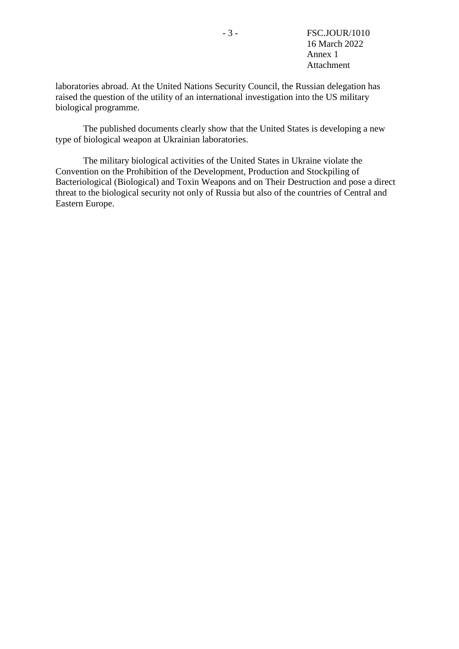laboratories abroad. At the United Nations Security Council, the Russian delegation has raised the question of the utility of an international investigation into the US military biological programme.

The published documents clearly show that the United States is developing a new type of biological weapon at Ukrainian laboratories.

The military biological activities of the United States in Ukraine violate the Convention on the Prohibition of the Development, Production and Stockpiling of Bacteriological (Biological) and Toxin Weapons and on Their Destruction and pose a direct threat to the biological security not only of Russia but also of the countries of Central and Eastern Europe.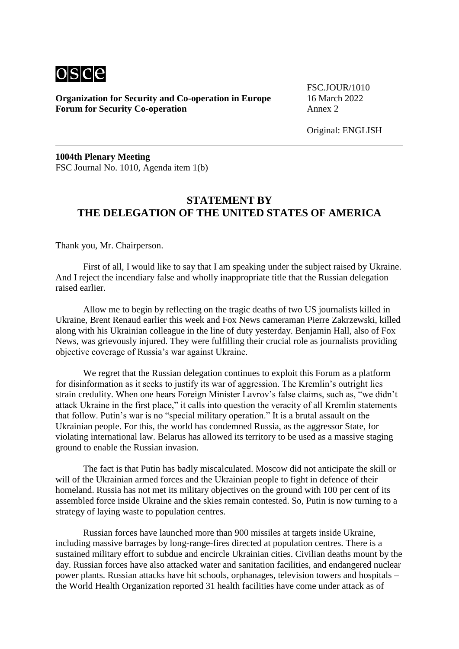

**Organization for Security and Co-operation in Europe** 16 March 2022 **Forum for Security Co-operation** Annex 2

FSC.JOUR/1010

Original: ENGLISH

**1004th Plenary Meeting** FSC Journal No. 1010, Agenda item 1(b)

### **STATEMENT BY THE DELEGATION OF THE UNITED STATES OF AMERICA**

Thank you, Mr. Chairperson.

First of all, I would like to say that I am speaking under the subject raised by Ukraine. And I reject the incendiary false and wholly inappropriate title that the Russian delegation raised earlier.

Allow me to begin by reflecting on the tragic deaths of two US journalists killed in Ukraine, Brent Renaud earlier this week and Fox News cameraman Pierre Zakrzewski, killed along with his Ukrainian colleague in the line of duty yesterday. Benjamin Hall, also of Fox News, was grievously injured. They were fulfilling their crucial role as journalists providing objective coverage of Russia's war against Ukraine.

We regret that the Russian delegation continues to exploit this Forum as a platform for disinformation as it seeks to justify its war of aggression. The Kremlin's outright lies strain credulity. When one hears Foreign Minister Lavrov's false claims, such as, "we didn't attack Ukraine in the first place," it calls into question the veracity of all Kremlin statements that follow. Putin's war is no "special military operation." It is a brutal assault on the Ukrainian people. For this, the world has condemned Russia, as the aggressor State, for violating international law. Belarus has allowed its territory to be used as a massive staging ground to enable the Russian invasion.

The fact is that Putin has badly miscalculated. Moscow did not anticipate the skill or will of the Ukrainian armed forces and the Ukrainian people to fight in defence of their homeland. Russia has not met its military objectives on the ground with 100 per cent of its assembled force inside Ukraine and the skies remain contested. So, Putin is now turning to a strategy of laying waste to population centres.

Russian forces have launched more than 900 missiles at targets inside Ukraine, including massive barrages by long-range-fires directed at population centres. There is a sustained military effort to subdue and encircle Ukrainian cities. Civilian deaths mount by the day. Russian forces have also attacked water and sanitation facilities, and endangered nuclear power plants. Russian attacks have hit schools, orphanages, television towers and hospitals – the World Health Organization reported 31 health facilities have come under attack as of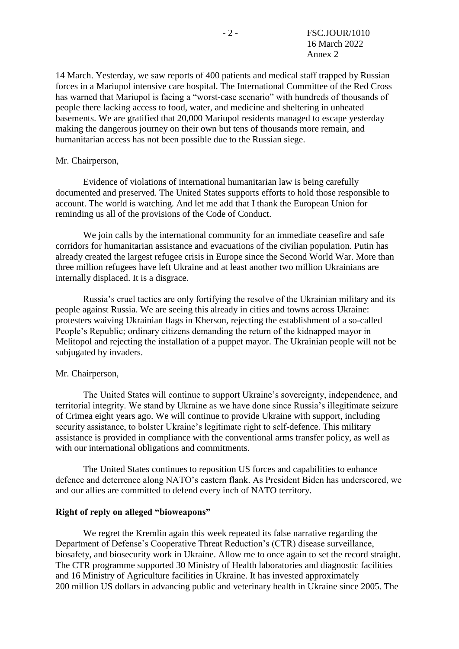14 March. Yesterday, we saw reports of 400 patients and medical staff trapped by Russian forces in a Mariupol intensive care hospital. The International Committee of the Red Cross has warned that Mariupol is facing a "worst-case scenario" with hundreds of thousands of people there lacking access to food, water, and medicine and sheltering in unheated basements. We are gratified that 20,000 Mariupol residents managed to escape yesterday making the dangerous journey on their own but tens of thousands more remain, and humanitarian access has not been possible due to the Russian siege.

### Mr. Chairperson,

Evidence of violations of international humanitarian law is being carefully documented and preserved. The United States supports efforts to hold those responsible to account. The world is watching. And let me add that I thank the European Union for reminding us all of the provisions of the Code of Conduct.

We join calls by the international community for an immediate ceasefire and safe corridors for humanitarian assistance and evacuations of the civilian population. Putin has already created the largest refugee crisis in Europe since the Second World War. More than three million refugees have left Ukraine and at least another two million Ukrainians are internally displaced. It is a disgrace.

Russia's cruel tactics are only fortifying the resolve of the Ukrainian military and its people against Russia. We are seeing this already in cities and towns across Ukraine: protesters waiving Ukrainian flags in Kherson, rejecting the establishment of a so-called People's Republic; ordinary citizens demanding the return of the kidnapped mayor in Melitopol and rejecting the installation of a puppet mayor. The Ukrainian people will not be subjugated by invaders.

### Mr. Chairperson,

The United States will continue to support Ukraine's sovereignty, independence, and territorial integrity. We stand by Ukraine as we have done since Russia's illegitimate seizure of Crimea eight years ago. We will continue to provide Ukraine with support, including security assistance, to bolster Ukraine's legitimate right to self-defence. This military assistance is provided in compliance with the conventional arms transfer policy, as well as with our international obligations and commitments.

The United States continues to reposition US forces and capabilities to enhance defence and deterrence along NATO's eastern flank. As President Biden has underscored, we and our allies are committed to defend every inch of NATO territory.

### **Right of reply on alleged "bioweapons"**

We regret the Kremlin again this week repeated its false narrative regarding the Department of Defense's Cooperative Threat Reduction's (CTR) disease surveillance, biosafety, and biosecurity work in Ukraine. Allow me to once again to set the record straight. The CTR programme supported 30 Ministry of Health laboratories and diagnostic facilities and 16 Ministry of Agriculture facilities in Ukraine. It has invested approximately 200 million US dollars in advancing public and veterinary health in Ukraine since 2005. The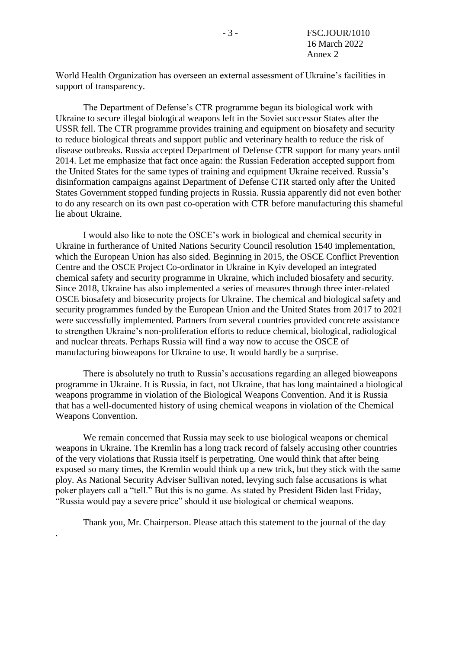World Health Organization has overseen an external assessment of Ukraine's facilities in support of transparency.

The Department of Defense's CTR programme began its biological work with Ukraine to secure illegal biological weapons left in the Soviet successor States after the USSR fell. The CTR programme provides training and equipment on biosafety and security to reduce biological threats and support public and veterinary health to reduce the risk of disease outbreaks. Russia accepted Department of Defense CTR support for many years until 2014. Let me emphasize that fact once again: the Russian Federation accepted support from the United States for the same types of training and equipment Ukraine received. Russia's disinformation campaigns against Department of Defense CTR started only after the United States Government stopped funding projects in Russia. Russia apparently did not even bother to do any research on its own past co-operation with CTR before manufacturing this shameful lie about Ukraine.

I would also like to note the OSCE's work in biological and chemical security in Ukraine in furtherance of United Nations Security Council resolution 1540 implementation, which the European Union has also sided. Beginning in 2015, the OSCE Conflict Prevention Centre and the OSCE Project Co-ordinator in Ukraine in Kyiv developed an integrated chemical safety and security programme in Ukraine, which included biosafety and security. Since 2018, Ukraine has also implemented a series of measures through three inter-related OSCE biosafety and biosecurity projects for Ukraine. The chemical and biological safety and security programmes funded by the European Union and the United States from 2017 to 2021 were successfully implemented. Partners from several countries provided concrete assistance to strengthen Ukraine's non-proliferation efforts to reduce chemical, biological, radiological and nuclear threats. Perhaps Russia will find a way now to accuse the OSCE of manufacturing bioweapons for Ukraine to use. It would hardly be a surprise.

There is absolutely no truth to Russia's accusations regarding an alleged bioweapons programme in Ukraine. It is Russia, in fact, not Ukraine, that has long maintained a biological weapons programme in violation of the Biological Weapons Convention. And it is Russia that has a well-documented history of using chemical weapons in violation of the Chemical Weapons Convention.

We remain concerned that Russia may seek to use biological weapons or chemical weapons in Ukraine. The Kremlin has a long track record of falsely accusing other countries of the very violations that Russia itself is perpetrating. One would think that after being exposed so many times, the Kremlin would think up a new trick, but they stick with the same ploy. As National Security Adviser Sullivan noted, levying such false accusations is what poker players call a "tell." But this is no game. As stated by President Biden last Friday, "Russia would pay a severe price" should it use biological or chemical weapons.

Thank you, Mr. Chairperson. Please attach this statement to the journal of the day

.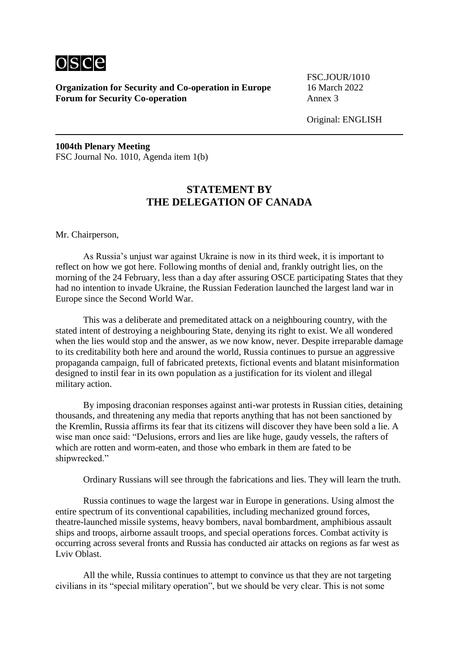

**Organization for Security and Co-operation in Europe** 16 March 2022 **Forum for Security Co-operation** Annex 3

FSC.JOUR/1010

Original: ENGLISH

**1004th Plenary Meeting** FSC Journal No. 1010, Agenda item 1(b)

## **STATEMENT BY THE DELEGATION OF CANADA**

Mr. Chairperson,

As Russia's unjust war against Ukraine is now in its third week, it is important to reflect on how we got here. Following months of denial and, frankly outright lies, on the morning of the 24 February, less than a day after assuring OSCE participating States that they had no intention to invade Ukraine, the Russian Federation launched the largest land war in Europe since the Second World War.

This was a deliberate and premeditated attack on a neighbouring country, with the stated intent of destroying a neighbouring State, denying its right to exist. We all wondered when the lies would stop and the answer, as we now know, never. Despite irreparable damage to its creditability both here and around the world, Russia continues to pursue an aggressive propaganda campaign, full of fabricated pretexts, fictional events and blatant misinformation designed to instil fear in its own population as a justification for its violent and illegal military action.

By imposing draconian responses against anti-war protests in Russian cities, detaining thousands, and threatening any media that reports anything that has not been sanctioned by the Kremlin, Russia affirms its fear that its citizens will discover they have been sold a lie. A wise man once said: "Delusions, errors and lies are like huge, gaudy vessels, the rafters of which are rotten and worm-eaten, and those who embark in them are fated to be shipwrecked."

Ordinary Russians will see through the fabrications and lies. They will learn the truth.

Russia continues to wage the largest war in Europe in generations. Using almost the entire spectrum of its conventional capabilities, including mechanized ground forces, theatre-launched missile systems, heavy bombers, naval bombardment, amphibious assault ships and troops, airborne assault troops, and special operations forces. Combat activity is occurring across several fronts and Russia has conducted air attacks on regions as far west as Lviv Oblast.

All the while, Russia continues to attempt to convince us that they are not targeting civilians in its "special military operation", but we should be very clear. This is not some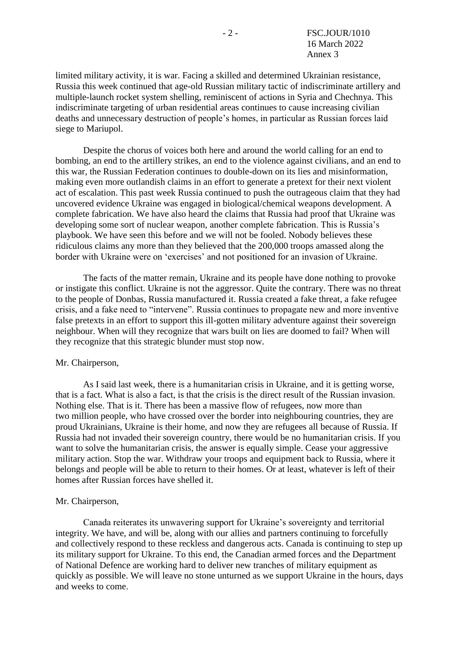limited military activity, it is war. Facing a skilled and determined Ukrainian resistance, Russia this week continued that age-old Russian military tactic of indiscriminate artillery and multiple-launch rocket system shelling, reminiscent of actions in Syria and Chechnya. This indiscriminate targeting of urban residential areas continues to cause increasing civilian deaths and unnecessary destruction of people's homes, in particular as Russian forces laid siege to Mariupol.

Despite the chorus of voices both here and around the world calling for an end to bombing, an end to the artillery strikes, an end to the violence against civilians, and an end to this war, the Russian Federation continues to double-down on its lies and misinformation, making even more outlandish claims in an effort to generate a pretext for their next violent act of escalation. This past week Russia continued to push the outrageous claim that they had uncovered evidence Ukraine was engaged in biological/chemical weapons development. A complete fabrication. We have also heard the claims that Russia had proof that Ukraine was developing some sort of nuclear weapon, another complete fabrication. This is Russia's playbook. We have seen this before and we will not be fooled. Nobody believes these ridiculous claims any more than they believed that the 200,000 troops amassed along the border with Ukraine were on 'exercises' and not positioned for an invasion of Ukraine.

The facts of the matter remain, Ukraine and its people have done nothing to provoke or instigate this conflict. Ukraine is not the aggressor. Quite the contrary. There was no threat to the people of Donbas, Russia manufactured it. Russia created a fake threat, a fake refugee crisis, and a fake need to "intervene". Russia continues to propagate new and more inventive false pretexts in an effort to support this ill-gotten military adventure against their sovereign neighbour. When will they recognize that wars built on lies are doomed to fail? When will they recognize that this strategic blunder must stop now.

#### Mr. Chairperson,

As I said last week, there is a humanitarian crisis in Ukraine, and it is getting worse, that is a fact. What is also a fact, is that the crisis is the direct result of the Russian invasion. Nothing else. That is it. There has been a massive flow of refugees, now more than two million people, who have crossed over the border into neighbouring countries, they are proud Ukrainians, Ukraine is their home, and now they are refugees all because of Russia. If Russia had not invaded their sovereign country, there would be no humanitarian crisis. If you want to solve the humanitarian crisis, the answer is equally simple. Cease your aggressive military action. Stop the war. Withdraw your troops and equipment back to Russia, where it belongs and people will be able to return to their homes. Or at least, whatever is left of their homes after Russian forces have shelled it.

### Mr. Chairperson,

Canada reiterates its unwavering support for Ukraine's sovereignty and territorial integrity. We have, and will be, along with our allies and partners continuing to forcefully and collectively respond to these reckless and dangerous acts. Canada is continuing to step up its military support for Ukraine. To this end, the Canadian armed forces and the Department of National Defence are working hard to deliver new tranches of military equipment as quickly as possible. We will leave no stone unturned as we support Ukraine in the hours, days and weeks to come.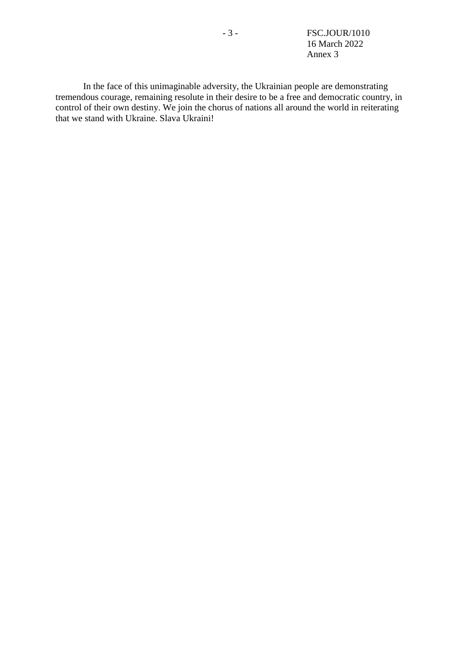- 3 - FSC.JOUR/1010 16 March 2022 Annex 3

In the face of this unimaginable adversity, the Ukrainian people are demonstrating tremendous courage, remaining resolute in their desire to be a free and democratic country, in control of their own destiny. We join the chorus of nations all around the world in reiterating that we stand with Ukraine. Slava Ukraini!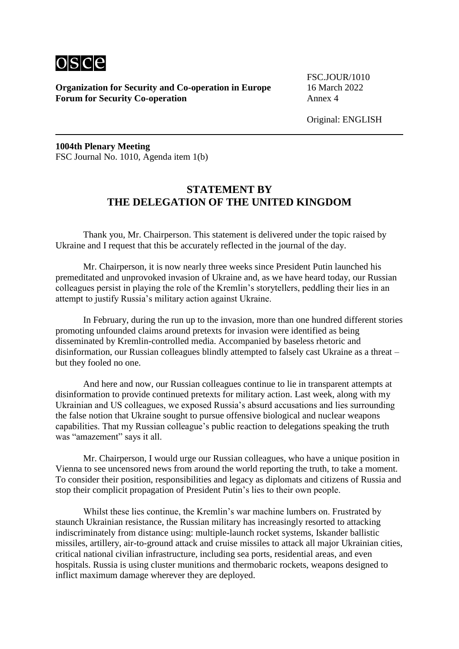

**Organization for Security and Co-operation in Europe** 16 March 2022 **Forum for Security Co-operation** 

FSC.JOUR/1010

Original: ENGLISH

**1004th Plenary Meeting** FSC Journal No. 1010, Agenda item 1(b)

## **STATEMENT BY THE DELEGATION OF THE UNITED KINGDOM**

Thank you, Mr. Chairperson. This statement is delivered under the topic raised by Ukraine and I request that this be accurately reflected in the journal of the day.

Mr. Chairperson, it is now nearly three weeks since President Putin launched his premeditated and unprovoked invasion of Ukraine and, as we have heard today, our Russian colleagues persist in playing the role of the Kremlin's storytellers, peddling their lies in an attempt to justify Russia's military action against Ukraine.

In February, during the run up to the invasion, more than one hundred different stories promoting unfounded claims around pretexts for invasion were identified as being disseminated by Kremlin-controlled media. Accompanied by baseless rhetoric and disinformation, our Russian colleagues blindly attempted to falsely cast Ukraine as a threat – but they fooled no one.

And here and now, our Russian colleagues continue to lie in transparent attempts at disinformation to provide continued pretexts for military action. Last week, along with my Ukrainian and US colleagues, we exposed Russia's absurd accusations and lies surrounding the false notion that Ukraine sought to pursue offensive biological and nuclear weapons capabilities. That my Russian colleague's public reaction to delegations speaking the truth was "amazement" says it all.

Mr. Chairperson, I would urge our Russian colleagues, who have a unique position in Vienna to see uncensored news from around the world reporting the truth, to take a moment. To consider their position, responsibilities and legacy as diplomats and citizens of Russia and stop their complicit propagation of President Putin's lies to their own people.

Whilst these lies continue, the Kremlin's war machine lumbers on. Frustrated by staunch Ukrainian resistance, the Russian military has increasingly resorted to attacking indiscriminately from distance using: multiple-launch rocket systems, Iskander ballistic missiles, artillery, air-to-ground attack and cruise missiles to attack all major Ukrainian cities, critical national civilian infrastructure, including sea ports, residential areas, and even hospitals. Russia is using cluster munitions and thermobaric rockets, weapons designed to inflict maximum damage wherever they are deployed.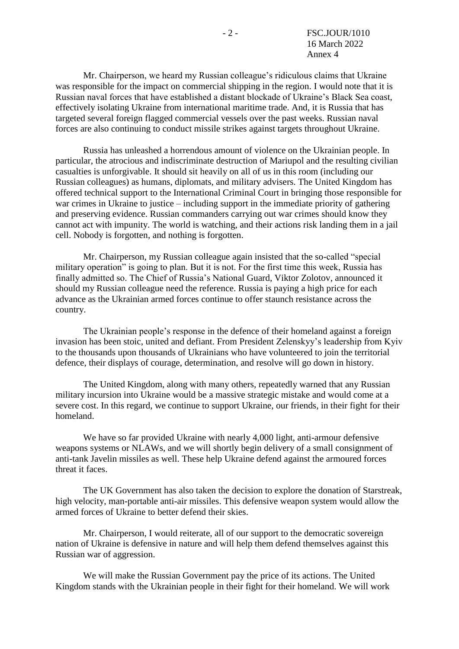Mr. Chairperson, we heard my Russian colleague's ridiculous claims that Ukraine was responsible for the impact on commercial shipping in the region. I would note that it is Russian naval forces that have established a distant blockade of Ukraine's Black Sea coast, effectively isolating Ukraine from international maritime trade. And, it is Russia that has targeted several foreign flagged commercial vessels over the past weeks. Russian naval forces are also continuing to conduct missile strikes against targets throughout Ukraine.

Russia has unleashed a horrendous amount of violence on the Ukrainian people. In particular, the atrocious and indiscriminate destruction of Mariupol and the resulting civilian casualties is unforgivable. It should sit heavily on all of us in this room (including our Russian colleagues) as humans, diplomats, and military advisers. The United Kingdom has offered technical support to the International Criminal Court in bringing those responsible for war crimes in Ukraine to justice – including support in the immediate priority of gathering and preserving evidence. Russian commanders carrying out war crimes should know they cannot act with impunity. The world is watching, and their actions risk landing them in a jail cell. Nobody is forgotten, and nothing is forgotten.

Mr. Chairperson, my Russian colleague again insisted that the so-called "special military operation" is going to plan. But it is not. For the first time this week, Russia has finally admitted so. The Chief of Russia's National Guard, Viktor Zolotov, announced it should my Russian colleague need the reference. Russia is paying a high price for each advance as the Ukrainian armed forces continue to offer staunch resistance across the country.

The Ukrainian people's response in the defence of their homeland against a foreign invasion has been stoic, united and defiant. From President Zelenskyy's leadership from Kyiv to the thousands upon thousands of Ukrainians who have volunteered to join the territorial defence, their displays of courage, determination, and resolve will go down in history.

The United Kingdom, along with many others, repeatedly warned that any Russian military incursion into Ukraine would be a massive strategic mistake and would come at a severe cost. In this regard, we continue to support Ukraine, our friends, in their fight for their homeland.

We have so far provided Ukraine with nearly 4,000 light, anti-armour defensive weapons systems or NLAWs, and we will shortly begin delivery of a small consignment of anti-tank Javelin missiles as well. These help Ukraine defend against the armoured forces threat it faces.

The UK Government has also taken the decision to explore the donation of Starstreak, high velocity, man-portable anti-air missiles. This defensive weapon system would allow the armed forces of Ukraine to better defend their skies.

Mr. Chairperson, I would reiterate, all of our support to the democratic sovereign nation of Ukraine is defensive in nature and will help them defend themselves against this Russian war of aggression.

We will make the Russian Government pay the price of its actions. The United Kingdom stands with the Ukrainian people in their fight for their homeland. We will work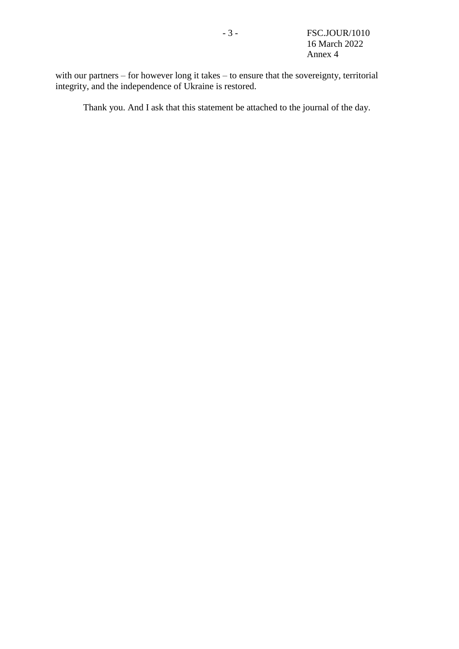with our partners – for however long it takes – to ensure that the sovereignty, territorial integrity, and the independence of Ukraine is restored.

Thank you. And I ask that this statement be attached to the journal of the day.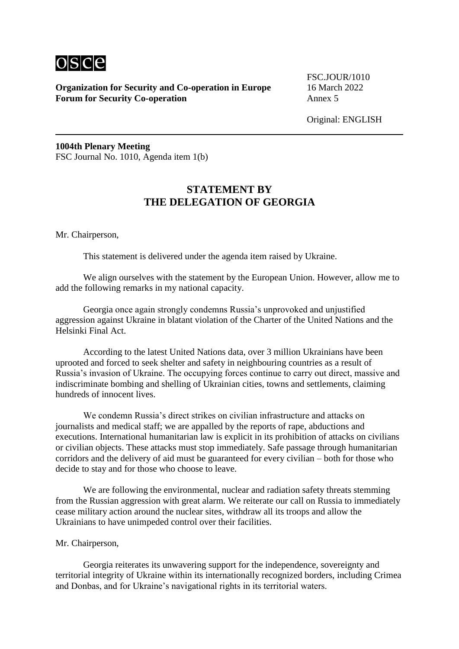

**Organization for Security and Co-operation in Europe** 16 March 2022 **Forum for Security Co-operation** Annex 5

FSC.JOUR/1010

Original: ENGLISH

**1004th Plenary Meeting** FSC Journal No. 1010, Agenda item 1(b)

## **STATEMENT BY THE DELEGATION OF GEORGIA**

Mr. Chairperson,

This statement is delivered under the agenda item raised by Ukraine.

We align ourselves with the statement by the European Union. However, allow me to add the following remarks in my national capacity.

Georgia once again strongly condemns Russia's unprovoked and unjustified aggression against Ukraine in blatant violation of the Charter of the United Nations and the Helsinki Final Act.

According to the latest United Nations data, over 3 million Ukrainians have been uprooted and forced to seek shelter and safety in neighbouring countries as a result of Russia's invasion of Ukraine. The occupying forces continue to carry out direct, massive and indiscriminate bombing and shelling of Ukrainian cities, towns and settlements, claiming hundreds of innocent lives.

We condemn Russia's direct strikes on civilian infrastructure and attacks on journalists and medical staff; we are appalled by the reports of rape, abductions and executions. International humanitarian law is explicit in its prohibition of attacks on civilians or civilian objects. These attacks must stop immediately. Safe passage through humanitarian corridors and the delivery of aid must be guaranteed for every civilian – both for those who decide to stay and for those who choose to leave.

We are following the environmental, nuclear and radiation safety threats stemming from the Russian aggression with great alarm. We reiterate our call on Russia to immediately cease military action around the nuclear sites, withdraw all its troops and allow the Ukrainians to have unimpeded control over their facilities.

Mr. Chairperson,

Georgia reiterates its unwavering support for the independence, sovereignty and territorial integrity of Ukraine within its internationally recognized borders, including Crimea and Donbas, and for Ukraine's navigational rights in its territorial waters.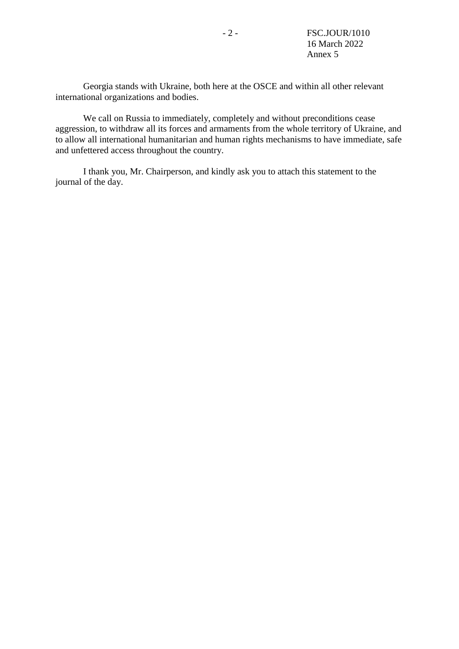Georgia stands with Ukraine, both here at the OSCE and within all other relevant international organizations and bodies.

We call on Russia to immediately, completely and without preconditions cease aggression, to withdraw all its forces and armaments from the whole territory of Ukraine, and to allow all international humanitarian and human rights mechanisms to have immediate, safe and unfettered access throughout the country.

I thank you, Mr. Chairperson, and kindly ask you to attach this statement to the journal of the day.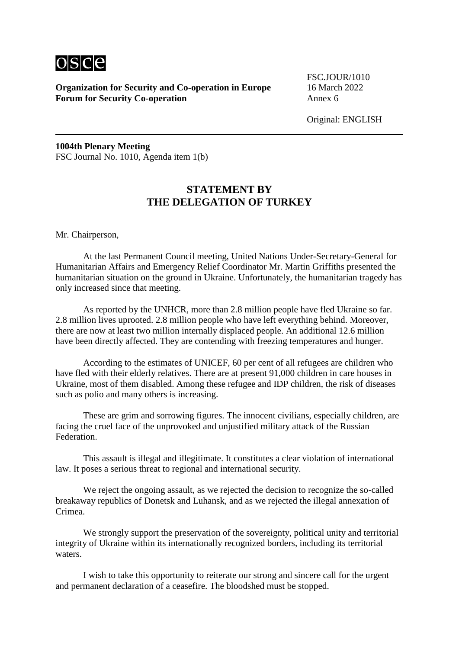

**Organization for Security and Co-operation in Europe** 16 March 2022 **Forum for Security Co-operation** Annex 6

FSC.JOUR/1010

Original: ENGLISH

**1004th Plenary Meeting** FSC Journal No. 1010, Agenda item 1(b)

## **STATEMENT BY THE DELEGATION OF TURKEY**

Mr. Chairperson,

At the last Permanent Council meeting, United Nations Under-Secretary-General for Humanitarian Affairs and Emergency Relief Coordinator Mr. Martin Griffiths presented the humanitarian situation on the ground in Ukraine. Unfortunately, the humanitarian tragedy has only increased since that meeting.

As reported by the UNHCR, more than 2.8 million people have fled Ukraine so far. 2.8 million lives uprooted. 2.8 million people who have left everything behind. Moreover, there are now at least two million internally displaced people. An additional 12.6 million have been directly affected. They are contending with freezing temperatures and hunger.

According to the estimates of UNICEF, 60 per cent of all refugees are children who have fled with their elderly relatives. There are at present 91,000 children in care houses in Ukraine, most of them disabled. Among these refugee and IDP children, the risk of diseases such as polio and many others is increasing.

These are grim and sorrowing figures. The innocent civilians, especially children, are facing the cruel face of the unprovoked and unjustified military attack of the Russian Federation.

This assault is illegal and illegitimate. It constitutes a clear violation of international law. It poses a serious threat to regional and international security.

We reject the ongoing assault, as we rejected the decision to recognize the so-called breakaway republics of Donetsk and Luhansk, and as we rejected the illegal annexation of Crimea.

We strongly support the preservation of the sovereignty, political unity and territorial integrity of Ukraine within its internationally recognized borders, including its territorial waters.

I wish to take this opportunity to reiterate our strong and sincere call for the urgent and permanent declaration of a ceasefire. The bloodshed must be stopped.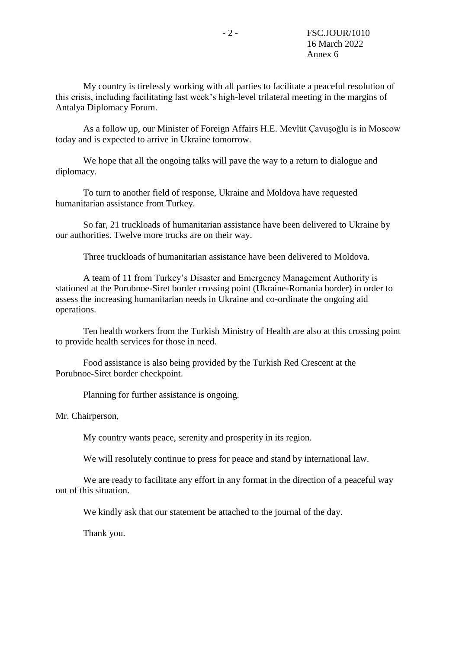My country is tirelessly working with all parties to facilitate a peaceful resolution of this crisis, including facilitating last week's high-level trilateral meeting in the margins of Antalya Diplomacy Forum.

As a follow up, our Minister of Foreign Affairs H.E. Mevlüt Çavuşoğlu is in Moscow today and is expected to arrive in Ukraine tomorrow.

We hope that all the ongoing talks will pave the way to a return to dialogue and diplomacy.

To turn to another field of response, Ukraine and Moldova have requested humanitarian assistance from Turkey.

So far, 21 truckloads of humanitarian assistance have been delivered to Ukraine by our authorities. Twelve more trucks are on their way.

Three truckloads of humanitarian assistance have been delivered to Moldova.

A team of 11 from Turkey's Disaster and Emergency Management Authority is stationed at the Porubnoe-Siret border crossing point (Ukraine-Romania border) in order to assess the increasing humanitarian needs in Ukraine and co-ordinate the ongoing aid operations.

Ten health workers from the Turkish Ministry of Health are also at this crossing point to provide health services for those in need.

Food assistance is also being provided by the Turkish Red Crescent at the Porubnoe-Siret border checkpoint.

Planning for further assistance is ongoing.

Mr. Chairperson,

My country wants peace, serenity and prosperity in its region.

We will resolutely continue to press for peace and stand by international law.

We are ready to facilitate any effort in any format in the direction of a peaceful way out of this situation.

We kindly ask that our statement be attached to the journal of the day.

Thank you.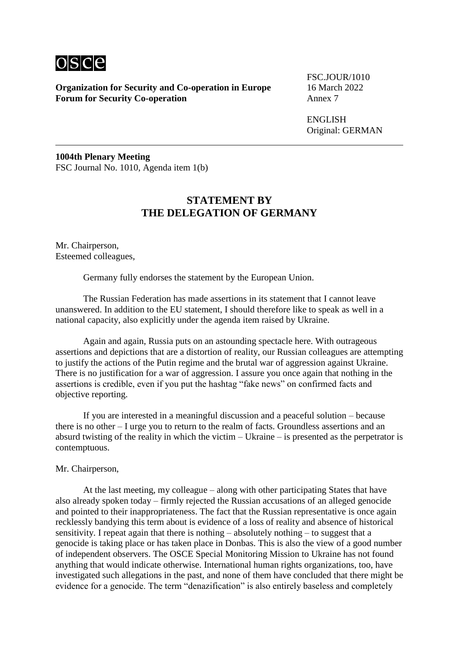

**Organization for Security and Co-operation in Europe** 16 March 2022 **Forum for Security Co-operation** 

FSC.JOUR/1010

ENGLISH Original: GERMAN

**1004th Plenary Meeting** FSC Journal No. 1010, Agenda item 1(b)

# **STATEMENT BY THE DELEGATION OF GERMANY**

Mr. Chairperson, Esteemed colleagues,

Germany fully endorses the statement by the European Union.

The Russian Federation has made assertions in its statement that I cannot leave unanswered. In addition to the EU statement, I should therefore like to speak as well in a national capacity, also explicitly under the agenda item raised by Ukraine.

Again and again, Russia puts on an astounding spectacle here. With outrageous assertions and depictions that are a distortion of reality, our Russian colleagues are attempting to justify the actions of the Putin regime and the brutal war of aggression against Ukraine. There is no justification for a war of aggression. I assure you once again that nothing in the assertions is credible, even if you put the hashtag "fake news" on confirmed facts and objective reporting.

If you are interested in a meaningful discussion and a peaceful solution – because there is no other – I urge you to return to the realm of facts. Groundless assertions and an absurd twisting of the reality in which the victim – Ukraine – is presented as the perpetrator is contemptuous.

Mr. Chairperson,

At the last meeting, my colleague – along with other participating States that have also already spoken today – firmly rejected the Russian accusations of an alleged genocide and pointed to their inappropriateness. The fact that the Russian representative is once again recklessly bandying this term about is evidence of a loss of reality and absence of historical sensitivity. I repeat again that there is nothing – absolutely nothing – to suggest that a genocide is taking place or has taken place in Donbas. This is also the view of a good number of independent observers. The OSCE Special Monitoring Mission to Ukraine has not found anything that would indicate otherwise. International human rights organizations, too, have investigated such allegations in the past, and none of them have concluded that there might be evidence for a genocide. The term "denazification" is also entirely baseless and completely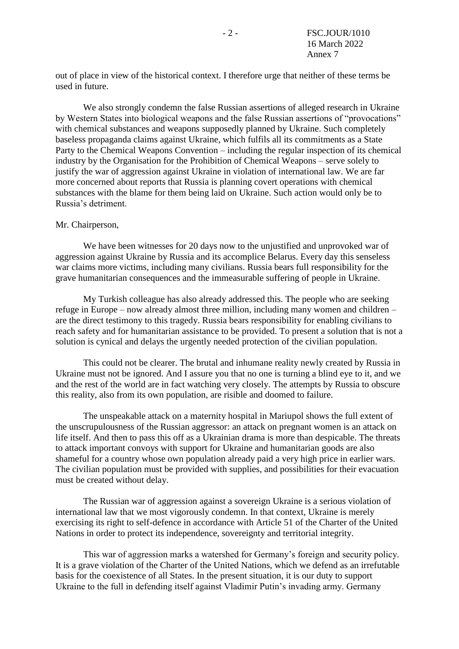out of place in view of the historical context. I therefore urge that neither of these terms be used in future.

We also strongly condemn the false Russian assertions of alleged research in Ukraine by Western States into biological weapons and the false Russian assertions of "provocations" with chemical substances and weapons supposedly planned by Ukraine. Such completely baseless propaganda claims against Ukraine, which fulfils all its commitments as a State Party to the Chemical Weapons Convention – including the regular inspection of its chemical industry by the Organisation for the Prohibition of Chemical Weapons – serve solely to justify the war of aggression against Ukraine in violation of international law. We are far more concerned about reports that Russia is planning covert operations with chemical substances with the blame for them being laid on Ukraine. Such action would only be to Russia's detriment.

#### Mr. Chairperson,

We have been witnesses for 20 days now to the unjustified and unprovoked war of aggression against Ukraine by Russia and its accomplice Belarus. Every day this senseless war claims more victims, including many civilians. Russia bears full responsibility for the grave humanitarian consequences and the immeasurable suffering of people in Ukraine.

My Turkish colleague has also already addressed this. The people who are seeking refuge in Europe – now already almost three million, including many women and children – are the direct testimony to this tragedy. Russia bears responsibility for enabling civilians to reach safety and for humanitarian assistance to be provided. To present a solution that is not a solution is cynical and delays the urgently needed protection of the civilian population.

This could not be clearer. The brutal and inhumane reality newly created by Russia in Ukraine must not be ignored. And I assure you that no one is turning a blind eye to it, and we and the rest of the world are in fact watching very closely. The attempts by Russia to obscure this reality, also from its own population, are risible and doomed to failure.

The unspeakable attack on a maternity hospital in Mariupol shows the full extent of the unscrupulousness of the Russian aggressor: an attack on pregnant women is an attack on life itself. And then to pass this off as a Ukrainian drama is more than despicable. The threats to attack important convoys with support for Ukraine and humanitarian goods are also shameful for a country whose own population already paid a very high price in earlier wars. The civilian population must be provided with supplies, and possibilities for their evacuation must be created without delay.

The Russian war of aggression against a sovereign Ukraine is a serious violation of international law that we most vigorously condemn. In that context, Ukraine is merely exercising its right to self-defence in accordance with Article 51 of the Charter of the United Nations in order to protect its independence, sovereignty and territorial integrity.

This war of aggression marks a watershed for Germany's foreign and security policy. It is a grave violation of the Charter of the United Nations, which we defend as an irrefutable basis for the coexistence of all States. In the present situation, it is our duty to support Ukraine to the full in defending itself against Vladimir Putin's invading army. Germany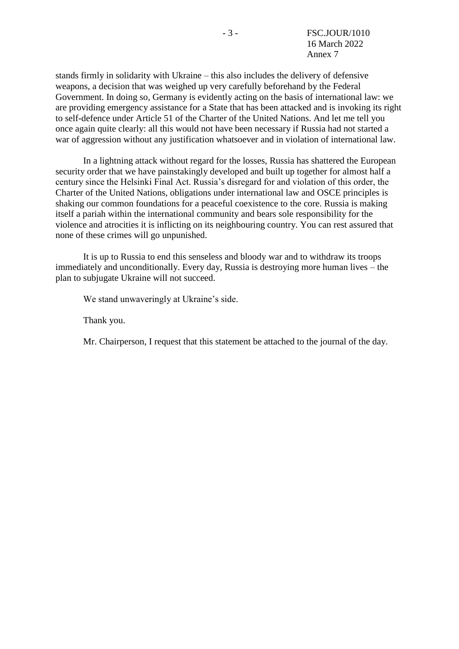stands firmly in solidarity with Ukraine – this also includes the delivery of defensive weapons, a decision that was weighed up very carefully beforehand by the Federal Government. In doing so, Germany is evidently acting on the basis of international law: we are providing emergency assistance for a State that has been attacked and is invoking its right to self-defence under Article 51 of the Charter of the United Nations. And let me tell you once again quite clearly: all this would not have been necessary if Russia had not started a war of aggression without any justification whatsoever and in violation of international law.

In a lightning attack without regard for the losses, Russia has shattered the European security order that we have painstakingly developed and built up together for almost half a century since the Helsinki Final Act. Russia's disregard for and violation of this order, the Charter of the United Nations, obligations under international law and OSCE principles is shaking our common foundations for a peaceful coexistence to the core. Russia is making itself a pariah within the international community and bears sole responsibility for the violence and atrocities it is inflicting on its neighbouring country. You can rest assured that none of these crimes will go unpunished.

It is up to Russia to end this senseless and bloody war and to withdraw its troops immediately and unconditionally. Every day, Russia is destroying more human lives – the plan to subjugate Ukraine will not succeed.

We stand unwaveringly at Ukraine's side.

Thank you.

Mr. Chairperson, I request that this statement be attached to the journal of the day.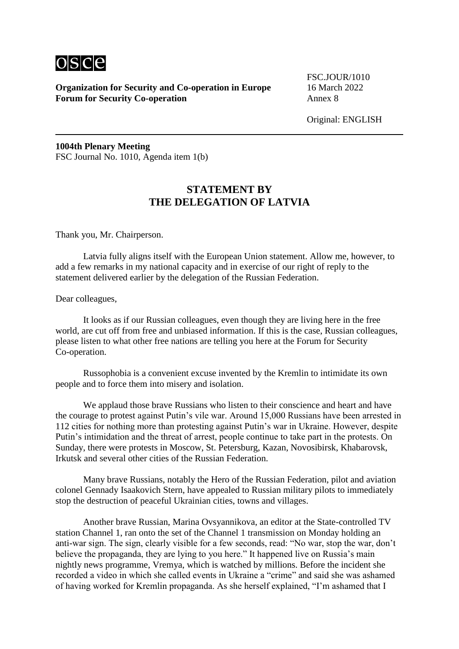

**Organization for Security and Co-operation in Europe** 16 March 2022 **Forum for Security Co-operation** 

FSC.JOUR/1010

Original: ENGLISH

**1004th Plenary Meeting** FSC Journal No. 1010, Agenda item 1(b)

## **STATEMENT BY THE DELEGATION OF LATVIA**

Thank you, Mr. Chairperson.

Latvia fully aligns itself with the European Union statement. Allow me, however, to add a few remarks in my national capacity and in exercise of our right of reply to the statement delivered earlier by the delegation of the Russian Federation.

Dear colleagues,

It looks as if our Russian colleagues, even though they are living here in the free world, are cut off from free and unbiased information. If this is the case, Russian colleagues, please listen to what other free nations are telling you here at the Forum for Security Co-operation.

Russophobia is a convenient excuse invented by the Kremlin to intimidate its own people and to force them into misery and isolation.

We applaud those brave Russians who listen to their conscience and heart and have the courage to protest against Putin's vile war. Around 15,000 Russians have been arrested in 112 cities for nothing more than protesting against Putin's war in Ukraine. However, despite Putin's intimidation and the threat of arrest, people continue to take part in the protests. On Sunday, there were protests in Moscow, St. Petersburg, Kazan, Novosibirsk, Khabarovsk, Irkutsk and several other cities of the Russian Federation.

Many brave Russians, notably the Hero of the Russian Federation, pilot and aviation colonel Gennady Isaakovich Stern, have appealed to Russian military pilots to immediately stop the destruction of peaceful Ukrainian cities, towns and villages.

Another brave Russian, Marina Ovsyannikova, an editor at the State-controlled TV station Channel 1, ran onto the set of the Channel 1 transmission on Monday holding an anti-war sign. The sign, clearly visible for a few seconds, read: "No war, stop the war, don't believe the propaganda, they are lying to you here." It happened live on Russia's main nightly news programme, Vremya, which is watched by millions. Before the incident she recorded a video in which she called events in Ukraine a "crime" and said she was ashamed of having worked for Kremlin propaganda. As she herself explained, "I'm ashamed that I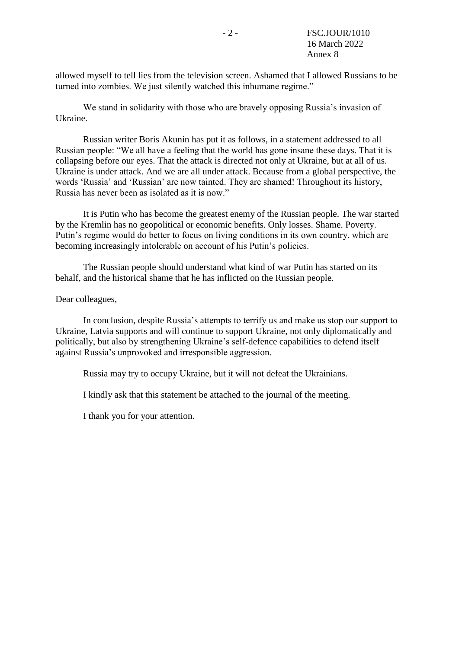allowed myself to tell lies from the television screen. Ashamed that I allowed Russians to be turned into zombies. We just silently watched this inhumane regime."

We stand in solidarity with those who are bravely opposing Russia's invasion of Ukraine.

Russian writer Boris Akunin has put it as follows, in a statement addressed to all Russian people: "We all have a feeling that the world has gone insane these days. That it is collapsing before our eyes. That the attack is directed not only at Ukraine, but at all of us. Ukraine is under attack. And we are all under attack. Because from a global perspective, the words 'Russia' and 'Russian' are now tainted. They are shamed! Throughout its history, Russia has never been as isolated as it is now."

It is Putin who has become the greatest enemy of the Russian people. The war started by the Kremlin has no geopolitical or economic benefits. Only losses. Shame. Poverty. Putin's regime would do better to focus on living conditions in its own country, which are becoming increasingly intolerable on account of his Putin's policies.

The Russian people should understand what kind of war Putin has started on its behalf, and the historical shame that he has inflicted on the Russian people.

Dear colleagues,

In conclusion, despite Russia's attempts to terrify us and make us stop our support to Ukraine, Latvia supports and will continue to support Ukraine, not only diplomatically and politically, but also by strengthening Ukraine's self-defence capabilities to defend itself against Russia's unprovoked and irresponsible aggression.

Russia may try to occupy Ukraine, but it will not defeat the Ukrainians.

I kindly ask that this statement be attached to the journal of the meeting.

I thank you for your attention.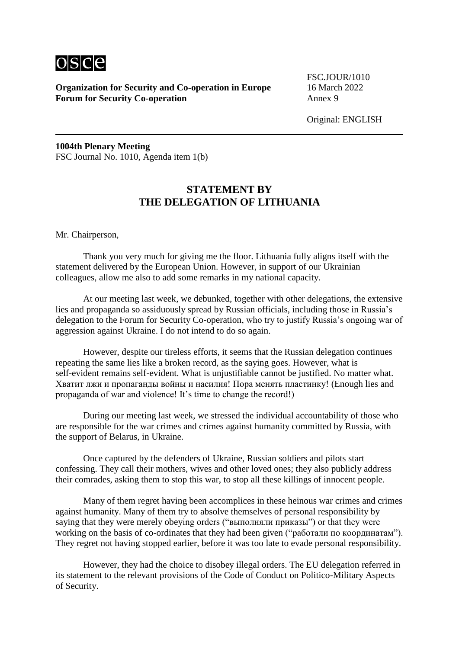

**Organization for Security and Co-operation in Europe** 16 March 2022 **Forum for Security Co-operation** Annex 9

FSC.JOUR/1010

Original: ENGLISH

**1004th Plenary Meeting** FSC Journal No. 1010, Agenda item 1(b)

## **STATEMENT BY THE DELEGATION OF LITHUANIA**

Mr. Chairperson,

Thank you very much for giving me the floor. Lithuania fully aligns itself with the statement delivered by the European Union. However, in support of our Ukrainian colleagues, allow me also to add some remarks in my national capacity.

At our meeting last week, we debunked, together with other delegations, the extensive lies and propaganda so assiduously spread by Russian officials, including those in Russia's delegation to the Forum for Security Co-operation, who try to justify Russia's ongoing war of aggression against Ukraine. I do not intend to do so again.

However, despite our tireless efforts, it seems that the Russian delegation continues repeating the same lies like a broken record, as the saying goes. However, what is self-evident remains self-evident. What is unjustifiable cannot be justified. No matter what. Хватит лжи и пропаганды войны и насилия! Пора менять пластинку! (Enough lies and propaganda of war and violence! It's time to change the record!)

During our meeting last week, we stressed the individual accountability of those who are responsible for the war crimes and crimes against humanity committed by Russia, with the support of Belarus, in Ukraine.

Once captured by the defenders of Ukraine, Russian soldiers and pilots start confessing. They call their mothers, wives and other loved ones; they also publicly address their comrades, asking them to stop this war, to stop all these killings of innocent people.

Many of them regret having been accomplices in these heinous war crimes and crimes against humanity. Many of them try to absolve themselves of personal responsibility by saying that they were merely obeying orders ("выполняли приказы") or that they were working on the basis of co-ordinates that they had been given ("работали по координатам"). They regret not having stopped earlier, before it was too late to evade personal responsibility.

However, they had the choice to disobey illegal orders. The EU delegation referred in its statement to the relevant provisions of the Code of Conduct on Politico-Military Aspects of Security.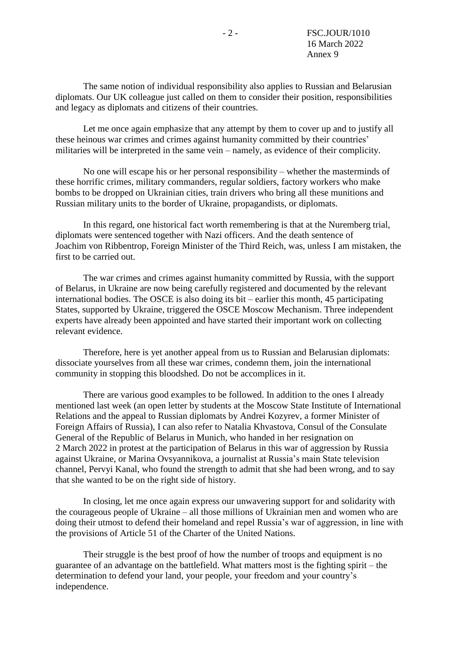The same notion of individual responsibility also applies to Russian and Belarusian diplomats. Our UK colleague just called on them to consider their position, responsibilities and legacy as diplomats and citizens of their countries.

Let me once again emphasize that any attempt by them to cover up and to justify all these heinous war crimes and crimes against humanity committed by their countries' militaries will be interpreted in the same vein – namely, as evidence of their complicity.

No one will escape his or her personal responsibility – whether the masterminds of these horrific crimes, military commanders, regular soldiers, factory workers who make bombs to be dropped on Ukrainian cities, train drivers who bring all these munitions and Russian military units to the border of Ukraine, propagandists, or diplomats.

In this regard, one historical fact worth remembering is that at the Nuremberg trial, diplomats were sentenced together with Nazi officers. And the death sentence of Joachim von Ribbentrop, Foreign Minister of the Third Reich, was, unless I am mistaken, the first to be carried out.

The war crimes and crimes against humanity committed by Russia, with the support of Belarus, in Ukraine are now being carefully registered and documented by the relevant international bodies. The OSCE is also doing its bit – earlier this month, 45 participating States, supported by Ukraine, triggered the OSCE Moscow Mechanism. Three independent experts have already been appointed and have started their important work on collecting relevant evidence.

Therefore, here is yet another appeal from us to Russian and Belarusian diplomats: dissociate yourselves from all these war crimes, condemn them, join the international community in stopping this bloodshed. Do not be accomplices in it.

There are various good examples to be followed. In addition to the ones I already mentioned last week (an open letter by students at the Moscow State Institute of International Relations and the appeal to Russian diplomats by Andrei Kozyrev, a former Minister of Foreign Affairs of Russia), I can also refer to Natalia Khvastova, Consul of the Consulate General of the Republic of Belarus in Munich, who handed in her resignation on 2 March 2022 in protest at the participation of Belarus in this war of aggression by Russia against Ukraine, or Marina Ovsyannikova, a journalist at Russia's main State television channel, Pervyi Kanal, who found the strength to admit that she had been wrong, and to say that she wanted to be on the right side of history.

In closing, let me once again express our unwavering support for and solidarity with the courageous people of Ukraine – all those millions of Ukrainian men and women who are doing their utmost to defend their homeland and repel Russia's war of aggression, in line with the provisions of Article 51 of the Charter of the United Nations.

Their struggle is the best proof of how the number of troops and equipment is no guarantee of an advantage on the battlefield. What matters most is the fighting spirit – the determination to defend your land, your people, your freedom and your country's independence.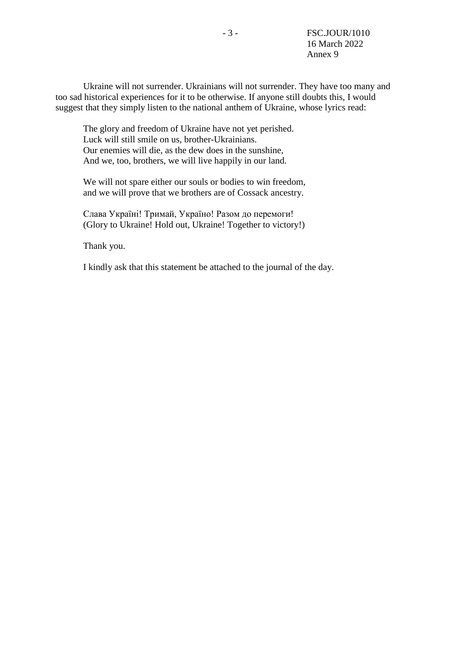Ukraine will not surrender. Ukrainians will not surrender. They have too many and too sad historical experiences for it to be otherwise. If anyone still doubts this, I would suggest that they simply listen to the national anthem of Ukraine, whose lyrics read:

The glory and freedom of Ukraine have not yet perished. Luck will still smile on us, brother-Ukrainians. Our enemies will die, as the dew does in the sunshine, And we, too, brothers, we will live happily in our land.

We will not spare either our souls or bodies to win freedom, and we will prove that we brothers are of Cossack ancestry.

Слава Україні! Тримай, Україно! Разом до перемоги! (Glory to Ukraine! Hold out, Ukraine! Together to victory!)

Thank you.

I kindly ask that this statement be attached to the journal of the day.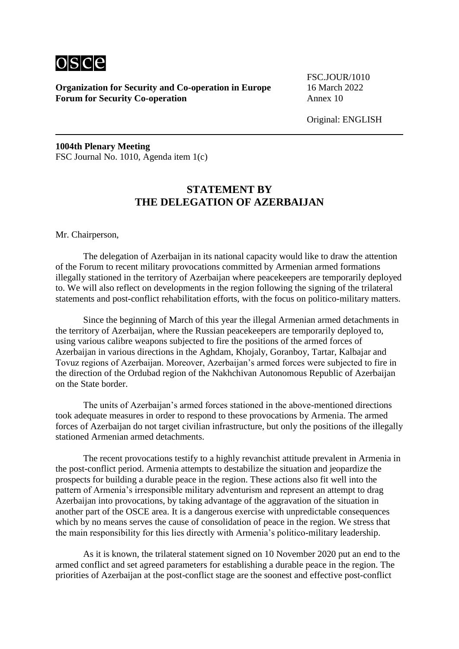

**Organization for Security and Co-operation in Europe** 16 March 2022 **Forum for Security Co-operation** Annex 10

FSC.JOUR/1010

Original: ENGLISH

**1004th Plenary Meeting** FSC Journal No. 1010, Agenda item 1(c)

## **STATEMENT BY THE DELEGATION OF AZERBAIJAN**

Mr. Chairperson,

The delegation of Azerbaijan in its national capacity would like to draw the attention of the Forum to recent military provocations committed by Armenian armed formations illegally stationed in the territory of Azerbaijan where peacekeepers are temporarily deployed to. We will also reflect on developments in the region following the signing of the trilateral statements and post-conflict rehabilitation efforts, with the focus on politico-military matters.

Since the beginning of March of this year the illegal Armenian armed detachments in the territory of Azerbaijan, where the Russian peacekeepers are temporarily deployed to, using various calibre weapons subjected to fire the positions of the armed forces of Azerbaijan in various directions in the Aghdam, Khojaly, Goranboy, Tartar, Kalbajar and Tovuz regions of Azerbaijan. Moreover, Azerbaijan's armed forces were subjected to fire in the direction of the Ordubad region of the Nakhchivan Autonomous Republic of Azerbaijan on the State border.

The units of Azerbaijan's armed forces stationed in the above-mentioned directions took adequate measures in order to respond to these provocations by Armenia. The armed forces of Azerbaijan do not target civilian infrastructure, but only the positions of the illegally stationed Armenian armed detachments.

The recent provocations testify to a highly revanchist attitude prevalent in Armenia in the post-conflict period. Armenia attempts to destabilize the situation and jeopardize the prospects for building a durable peace in the region. These actions also fit well into the pattern of Armenia's irresponsible military adventurism and represent an attempt to drag Azerbaijan into provocations, by taking advantage of the aggravation of the situation in another part of the OSCE area. It is a dangerous exercise with unpredictable consequences which by no means serves the cause of consolidation of peace in the region. We stress that the main responsibility for this lies directly with Armenia's politico-military leadership.

As it is known, the trilateral statement signed on 10 November 2020 put an end to the armed conflict and set agreed parameters for establishing a durable peace in the region. The priorities of Azerbaijan at the post-conflict stage are the soonest and effective post-conflict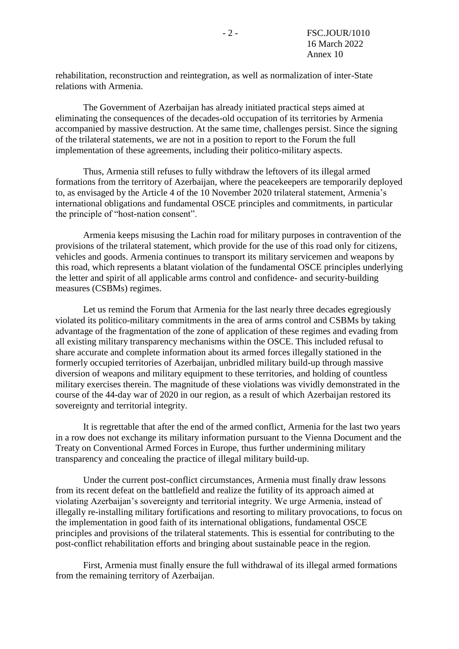rehabilitation, reconstruction and reintegration, as well as normalization of inter-State relations with Armenia.

The Government of Azerbaijan has already initiated practical steps aimed at eliminating the consequences of the decades-old occupation of its territories by Armenia accompanied by massive destruction. At the same time, challenges persist. Since the signing of the trilateral statements, we are not in a position to report to the Forum the full implementation of these agreements, including their politico-military aspects.

Thus, Armenia still refuses to fully withdraw the leftovers of its illegal armed formations from the territory of Azerbaijan, where the peacekeepers are temporarily deployed to, as envisaged by the Article 4 of the 10 November 2020 trilateral statement, Armenia's international obligations and fundamental OSCE principles and commitments, in particular the principle of "host-nation consent".

Armenia keeps misusing the Lachin road for military purposes in contravention of the provisions of the trilateral statement, which provide for the use of this road only for citizens, vehicles and goods. Armenia continues to transport its military servicemen and weapons by this road, which represents a blatant violation of the fundamental OSCE principles underlying the letter and spirit of all applicable arms control and confidence- and security-building measures (CSBMs) regimes.

Let us remind the Forum that Armenia for the last nearly three decades egregiously violated its politico-military commitments in the area of arms control and CSBMs by taking advantage of the fragmentation of the zone of application of these regimes and evading from all existing military transparency mechanisms within the OSCE. This included refusal to share accurate and complete information about its armed forces illegally stationed in the formerly occupied territories of Azerbaijan, unbridled military build-up through massive diversion of weapons and military equipment to these territories, and holding of countless military exercises therein. The magnitude of these violations was vividly demonstrated in the course of the 44-day war of 2020 in our region, as a result of which Azerbaijan restored its sovereignty and territorial integrity.

It is regrettable that after the end of the armed conflict, Armenia for the last two years in a row does not exchange its military information pursuant to the Vienna Document and the Treaty on Conventional Armed Forces in Europe, thus further undermining military transparency and concealing the practice of illegal military build-up.

Under the current post-conflict circumstances, Armenia must finally draw lessons from its recent defeat on the battlefield and realize the futility of its approach aimed at violating Azerbaijan's sovereignty and territorial integrity. We urge Armenia, instead of illegally re-installing military fortifications and resorting to military provocations, to focus on the implementation in good faith of its international obligations, fundamental OSCE principles and provisions of the trilateral statements. This is essential for contributing to the post-conflict rehabilitation efforts and bringing about sustainable peace in the region.

First, Armenia must finally ensure the full withdrawal of its illegal armed formations from the remaining territory of Azerbaijan.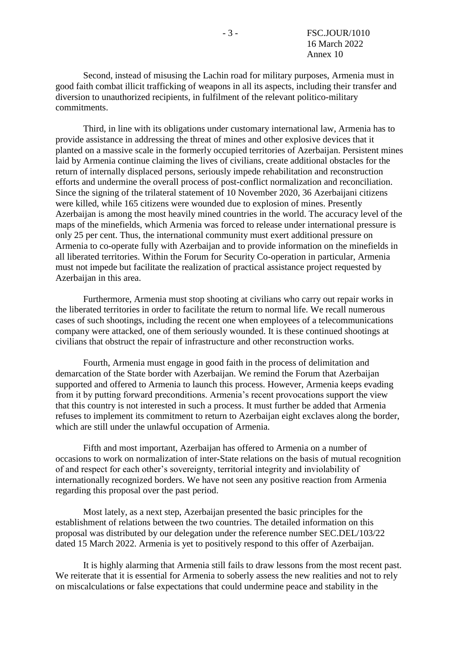Second, instead of misusing the Lachin road for military purposes, Armenia must in good faith combat illicit trafficking of weapons in all its aspects, including their transfer and diversion to unauthorized recipients, in fulfilment of the relevant politico-military commitments.

Third, in line with its obligations under customary international law, Armenia has to provide assistance in addressing the threat of mines and other explosive devices that it planted on a massive scale in the formerly occupied territories of Azerbaijan. Persistent mines laid by Armenia continue claiming the lives of civilians, create additional obstacles for the return of internally displaced persons, seriously impede rehabilitation and reconstruction efforts and undermine the overall process of post-conflict normalization and reconciliation. Since the signing of the trilateral statement of 10 November 2020, 36 Azerbaijani citizens were killed, while 165 citizens were wounded due to explosion of mines. Presently Azerbaijan is among the most heavily mined countries in the world. The accuracy level of the maps of the minefields, which Armenia was forced to release under international pressure is only 25 per cent. Thus, the international community must exert additional pressure on Armenia to co-operate fully with Azerbaijan and to provide information on the minefields in all liberated territories. Within the Forum for Security Co-operation in particular, Armenia must not impede but facilitate the realization of practical assistance project requested by Azerbaijan in this area.

Furthermore, Armenia must stop shooting at civilians who carry out repair works in the liberated territories in order to facilitate the return to normal life. We recall numerous cases of such shootings, including the recent one when employees of a telecommunications company were attacked, one of them seriously wounded. It is these continued shootings at civilians that obstruct the repair of infrastructure and other reconstruction works.

Fourth, Armenia must engage in good faith in the process of delimitation and demarcation of the State border with Azerbaijan. We remind the Forum that Azerbaijan supported and offered to Armenia to launch this process. However, Armenia keeps evading from it by putting forward preconditions. Armenia's recent provocations support the view that this country is not interested in such a process. It must further be added that Armenia refuses to implement its commitment to return to Azerbaijan eight exclaves along the border, which are still under the unlawful occupation of Armenia.

Fifth and most important, Azerbaijan has offered to Armenia on a number of occasions to work on normalization of inter-State relations on the basis of mutual recognition of and respect for each other's sovereignty, territorial integrity and inviolability of internationally recognized borders. We have not seen any positive reaction from Armenia regarding this proposal over the past period.

Most lately, as a next step, Azerbaijan presented the basic principles for the establishment of relations between the two countries. The detailed information on this proposal was distributed by our delegation under the reference number SEC.DEL/103/22 dated 15 March 2022. Armenia is yet to positively respond to this offer of Azerbaijan.

It is highly alarming that Armenia still fails to draw lessons from the most recent past. We reiterate that it is essential for Armenia to soberly assess the new realities and not to rely on miscalculations or false expectations that could undermine peace and stability in the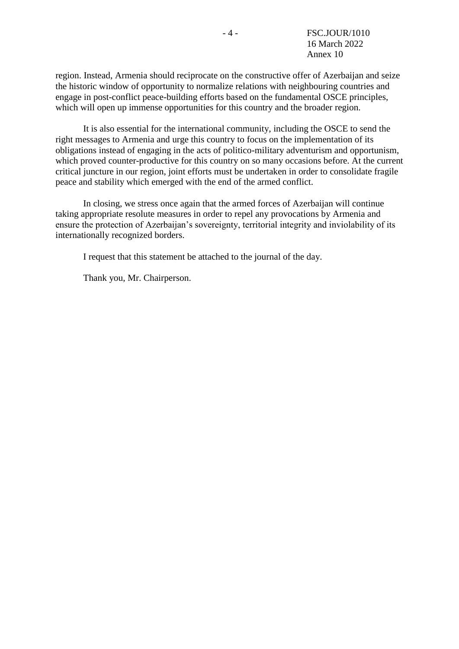region. Instead, Armenia should reciprocate on the constructive offer of Azerbaijan and seize the historic window of opportunity to normalize relations with neighbouring countries and engage in post-conflict peace-building efforts based on the fundamental OSCE principles, which will open up immense opportunities for this country and the broader region.

It is also essential for the international community, including the OSCE to send the right messages to Armenia and urge this country to focus on the implementation of its obligations instead of engaging in the acts of politico-military adventurism and opportunism, which proved counter-productive for this country on so many occasions before. At the current critical juncture in our region, joint efforts must be undertaken in order to consolidate fragile peace and stability which emerged with the end of the armed conflict.

In closing, we stress once again that the armed forces of Azerbaijan will continue taking appropriate resolute measures in order to repel any provocations by Armenia and ensure the protection of Azerbaijan's sovereignty, territorial integrity and inviolability of its internationally recognized borders.

I request that this statement be attached to the journal of the day.

Thank you, Mr. Chairperson.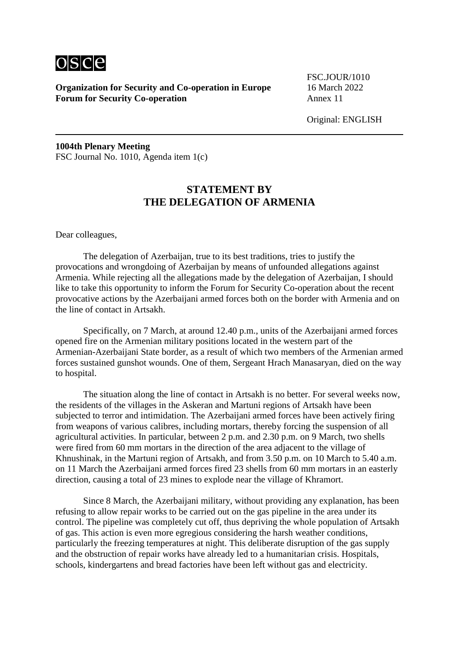

**Organization for Security and Co-operation in Europe** 16 March 2022 **Forum for Security Co-operation** Annex 11

FSC.JOUR/1010

**1004th Plenary Meeting** FSC Journal No. 1010, Agenda item 1(c)

## **STATEMENT BY THE DELEGATION OF ARMENIA**

Dear colleagues,

The delegation of Azerbaijan, true to its best traditions, tries to justify the provocations and wrongdoing of Azerbaijan by means of unfounded allegations against Armenia. While rejecting all the allegations made by the delegation of Azerbaijan, I should like to take this opportunity to inform the Forum for Security Co-operation about the recent provocative actions by the Azerbaijani armed forces both on the border with Armenia and on the line of contact in Artsakh.

Specifically, on 7 March, at around 12.40 p.m., units of the Azerbaijani armed forces opened fire on the Armenian military positions located in the western part of the Armenian-Azerbaijani State border, as a result of which two members of the Armenian armed forces sustained gunshot wounds. One of them, Sergeant Hrach Manasaryan, died on the way to hospital.

The situation along the line of contact in Artsakh is no better. For several weeks now, the residents of the villages in the Askeran and Martuni regions of Artsakh have been subjected to terror and intimidation. The Azerbaijani armed forces have been actively firing from weapons of various calibres, including mortars, thereby forcing the suspension of all agricultural activities. In particular, between 2 p.m. and 2.30 p.m. on 9 March, two shells were fired from 60 mm mortars in the direction of the area adjacent to the village of Khnushinak, in the Martuni region of Artsakh, and from 3.50 p.m. on 10 March to 5.40 a.m. on 11 March the Azerbaijani armed forces fired 23 shells from 60 mm mortars in an easterly direction, causing a total of 23 mines to explode near the village of Khramort.

Since 8 March, the Azerbaijani military, without providing any explanation, has been refusing to allow repair works to be carried out on the gas pipeline in the area under its control. The pipeline was completely cut off, thus depriving the whole population of Artsakh of gas. This action is even more egregious considering the harsh weather conditions, particularly the freezing temperatures at night. This deliberate disruption of the gas supply and the obstruction of repair works have already led to a humanitarian crisis. Hospitals, schools, kindergartens and bread factories have been left without gas and electricity.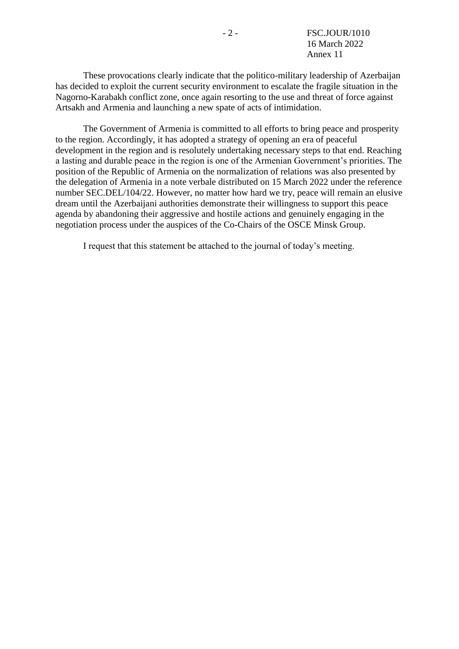These provocations clearly indicate that the politico-military leadership of Azerbaijan has decided to exploit the current security environment to escalate the fragile situation in the Nagorno-Karabakh conflict zone, once again resorting to the use and threat of force against Artsakh and Armenia and launching a new spate of acts of intimidation.

The Government of Armenia is committed to all efforts to bring peace and prosperity to the region. Accordingly, it has adopted a strategy of opening an era of peaceful development in the region and is resolutely undertaking necessary steps to that end. Reaching a lasting and durable peace in the region is one of the Armenian Government's priorities. The position of the Republic of Armenia on the normalization of relations was also presented by the delegation of Armenia in a note verbale distributed on 15 March 2022 under the reference number SEC.DEL/104/22. However, no matter how hard we try, peace will remain an elusive dream until the Azerbaijani authorities demonstrate their willingness to support this peace agenda by abandoning their aggressive and hostile actions and genuinely engaging in the negotiation process under the auspices of the Co-Chairs of the OSCE Minsk Group.

I request that this statement be attached to the journal of today's meeting.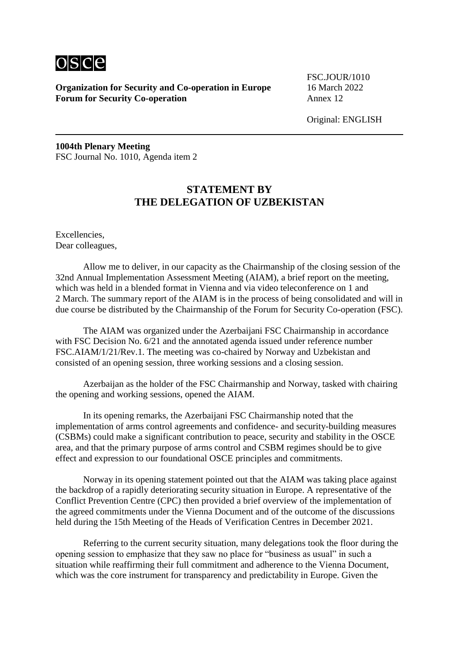

**Organization for Security and Co-operation in Europe** 16 March 2022 **Forum for Security Co-operation** Annex 12

FSC.JOUR/1010

Original: ENGLISH

**1004th Plenary Meeting** FSC Journal No. 1010, Agenda item 2

## **STATEMENT BY THE DELEGATION OF UZBEKISTAN**

Excellencies, Dear colleagues,

Allow me to deliver, in our capacity as the Chairmanship of the closing session of the 32nd Annual Implementation Assessment Meeting (AIAM), a brief report on the meeting, which was held in a blended format in Vienna and via video teleconference on 1 and 2 March. The summary report of the AIAM is in the process of being consolidated and will in due course be distributed by the Chairmanship of the Forum for Security Co-operation (FSC).

The AIAM was organized under the Azerbaijani FSC Chairmanship in accordance with FSC Decision No. 6/21 and the annotated agenda issued under reference number FSC.AIAM/1/21/Rev.1. The meeting was co-chaired by Norway and Uzbekistan and consisted of an opening session, three working sessions and a closing session.

Azerbaijan as the holder of the FSC Chairmanship and Norway, tasked with chairing the opening and working sessions, opened the AIAM.

In its opening remarks, the Azerbaijani FSC Chairmanship noted that the implementation of arms control agreements and confidence- and security-building measures (CSBMs) could make a significant contribution to peace, security and stability in the OSCE area, and that the primary purpose of arms control and CSBM regimes should be to give effect and expression to our foundational OSCE principles and commitments.

Norway in its opening statement pointed out that the AIAM was taking place against the backdrop of a rapidly deteriorating security situation in Europe. A representative of the Conflict Prevention Centre (CPC) then provided a brief overview of the implementation of the agreed commitments under the Vienna Document and of the outcome of the discussions held during the 15th Meeting of the Heads of Verification Centres in December 2021.

Referring to the current security situation, many delegations took the floor during the opening session to emphasize that they saw no place for "business as usual" in such a situation while reaffirming their full commitment and adherence to the Vienna Document, which was the core instrument for transparency and predictability in Europe. Given the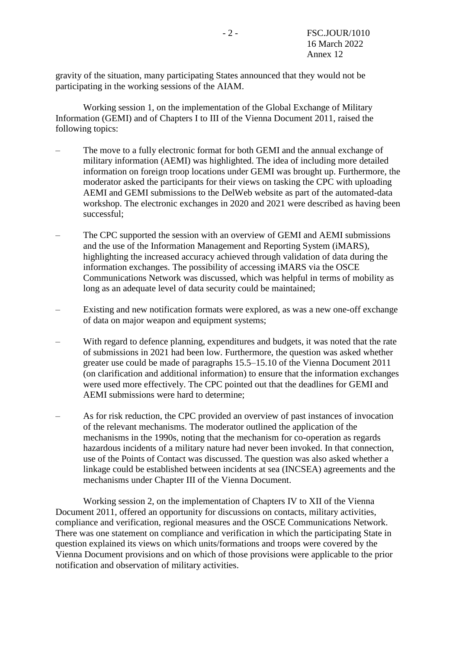gravity of the situation, many participating States announced that they would not be participating in the working sessions of the AIAM.

Working session 1, on the implementation of the Global Exchange of Military Information (GEMI) and of Chapters I to III of the Vienna Document 2011, raised the following topics:

- The move to a fully electronic format for both GEMI and the annual exchange of military information (AEMI) was highlighted. The idea of including more detailed information on foreign troop locations under GEMI was brought up. Furthermore, the moderator asked the participants for their views on tasking the CPC with uploading AEMI and GEMI submissions to the DelWeb website as part of the automated-data workshop. The electronic exchanges in 2020 and 2021 were described as having been successful;
- The CPC supported the session with an overview of GEMI and AEMI submissions and the use of the Information Management and Reporting System (iMARS), highlighting the increased accuracy achieved through validation of data during the information exchanges. The possibility of accessing iMARS via the OSCE Communications Network was discussed, which was helpful in terms of mobility as long as an adequate level of data security could be maintained;
- Existing and new notification formats were explored, as was a new one-off exchange of data on major weapon and equipment systems;
- With regard to defence planning, expenditures and budgets, it was noted that the rate of submissions in 2021 had been low. Furthermore, the question was asked whether greater use could be made of paragraphs 15.5–15.10 of the Vienna Document 2011 (on clarification and additional information) to ensure that the information exchanges were used more effectively. The CPC pointed out that the deadlines for GEMI and AEMI submissions were hard to determine;
- As for risk reduction, the CPC provided an overview of past instances of invocation of the relevant mechanisms. The moderator outlined the application of the mechanisms in the 1990s, noting that the mechanism for co-operation as regards hazardous incidents of a military nature had never been invoked. In that connection, use of the Points of Contact was discussed. The question was also asked whether a linkage could be established between incidents at sea (INCSEA) agreements and the mechanisms under Chapter III of the Vienna Document.

Working session 2, on the implementation of Chapters IV to XII of the Vienna Document 2011, offered an opportunity for discussions on contacts, military activities, compliance and verification, regional measures and the OSCE Communications Network. There was one statement on compliance and verification in which the participating State in question explained its views on which units/formations and troops were covered by the Vienna Document provisions and on which of those provisions were applicable to the prior notification and observation of military activities.